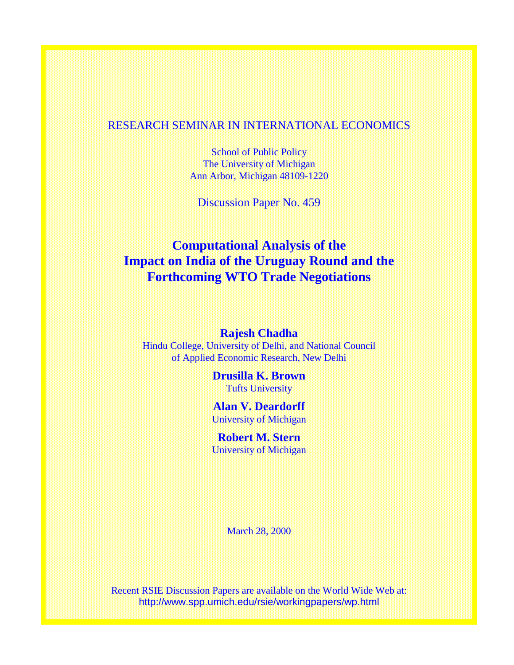# RESEARCH SEMINAR IN INTERNATIONAL ECONOMICS

School of Public Policy The University of Michigan Ann Arbor, Michigan 48109-1220

Discussion Paper No. 459

# **Computational Analysis of the Impact on India of the Uruguay Round and the Forthcoming WTO Trade Negotiations**

# **Rajesh Chadha**

Hindu College, University of Delhi, and National Council of Applied Economic Research, New Delhi

> **Drusilla K. Brown** Tufts University

# **Alan V. Deardorff** University of Michigan

**Robert M. Stern** University of Michigan

March 28, 2000

Recent RSIE Discussion Papers are available on the World Wide Web at: http://www.spp.umich.edu/rsie/workingpapers/wp.html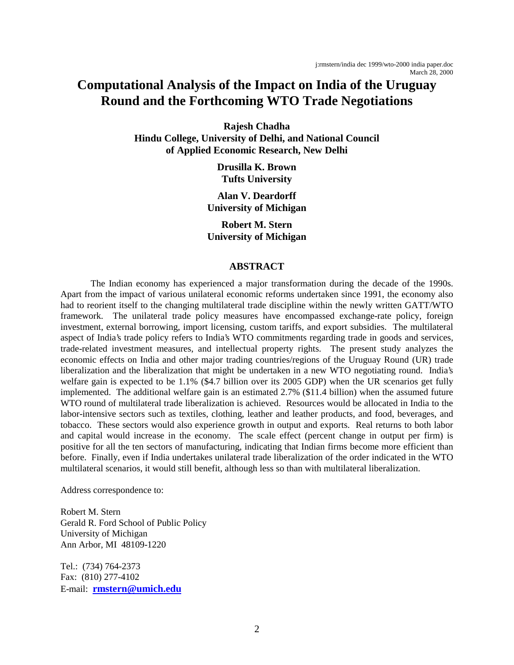# **Computational Analysis of the Impact on India of the Uruguay Round and the Forthcoming WTO Trade Negotiations**

**Rajesh Chadha Hindu College, University of Delhi, and National Council of Applied Economic Research, New Delhi**

> **Drusilla K. Brown Tufts University**

**Alan V. Deardorff University of Michigan**

**Robert M. Stern University of Michigan**

# **ABSTRACT**

The Indian economy has experienced a major transformation during the decade of the 1990s. Apart from the impact of various unilateral economic reforms undertaken since 1991, the economy also had to reorient itself to the changing multilateral trade discipline within the newly written GATT/WTO framework. The unilateral trade policy measures have encompassed exchange-rate policy, foreign investment, external borrowing, import licensing, custom tariffs, and export subsidies. The multilateral aspect of India's trade policy refers to India's WTO commitments regarding trade in goods and services, trade-related investment measures, and intellectual property rights. The present study analyzes the economic effects on India and other major trading countries/regions of the Uruguay Round (UR) trade liberalization and the liberalization that might be undertaken in a new WTO negotiating round. India's welfare gain is expected to be 1.1% (\$4.7 billion over its 2005 GDP) when the UR scenarios get fully implemented. The additional welfare gain is an estimated 2.7% (\$11.4 billion) when the assumed future WTO round of multilateral trade liberalization is achieved. Resources would be allocated in India to the labor-intensive sectors such as textiles, clothing, leather and leather products, and food, beverages, and tobacco. These sectors would also experience growth in output and exports. Real returns to both labor and capital would increase in the economy. The scale effect (percent change in output per firm) is positive for all the ten sectors of manufacturing, indicating that Indian firms become more efficient than before. Finally, even if India undertakes unilateral trade liberalization of the order indicated in the WTO multilateral scenarios, it would still benefit, although less so than with multilateral liberalization.

Address correspondence to:

Robert M. Stern Gerald R. Ford School of Public Policy University of Michigan Ann Arbor, MI 48109-1220

Tel.: (734) 764-2373 Fax: (810) 277-4102 E-mail: **rmstern@umich.edu**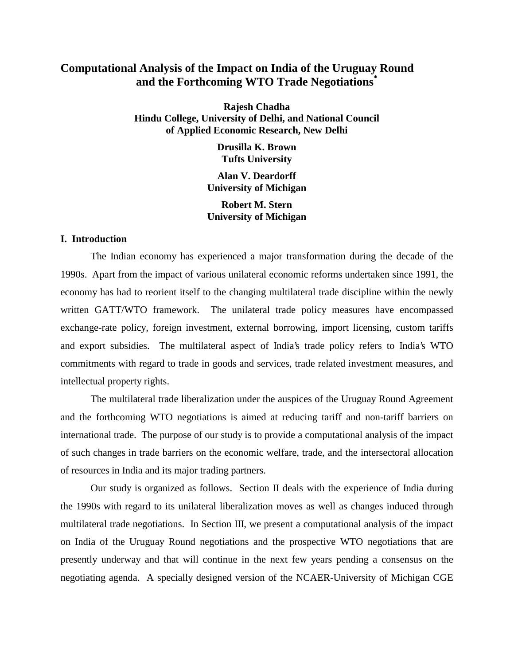# **Computational Analysis of the Impact on India of the Uruguay Round and the Forthcoming WTO Trade Negotiations\***

**Rajesh Chadha Hindu College, University of Delhi, and National Council of Applied Economic Research, New Delhi**

> **Drusilla K. Brown Tufts University**

**Alan V. Deardorff University of Michigan**

**Robert M. Stern University of Michigan**

### **I. Introduction**

The Indian economy has experienced a major transformation during the decade of the 1990s. Apart from the impact of various unilateral economic reforms undertaken since 1991, the economy has had to reorient itself to the changing multilateral trade discipline within the newly written GATT/WTO framework. The unilateral trade policy measures have encompassed exchange-rate policy, foreign investment, external borrowing, import licensing, custom tariffs and export subsidies. The multilateral aspect of India's trade policy refers to India's WTO commitments with regard to trade in goods and services, trade related investment measures, and intellectual property rights.

The multilateral trade liberalization under the auspices of the Uruguay Round Agreement and the forthcoming WTO negotiations is aimed at reducing tariff and non-tariff barriers on international trade. The purpose of our study is to provide a computational analysis of the impact of such changes in trade barriers on the economic welfare, trade, and the intersectoral allocation of resources in India and its major trading partners.

Our study is organized as follows. Section II deals with the experience of India during the 1990s with regard to its unilateral liberalization moves as well as changes induced through multilateral trade negotiations. In Section III, we present a computational analysis of the impact on India of the Uruguay Round negotiations and the prospective WTO negotiations that are presently underway and that will continue in the next few years pending a consensus on the negotiating agenda. A specially designed version of the NCAER-University of Michigan CGE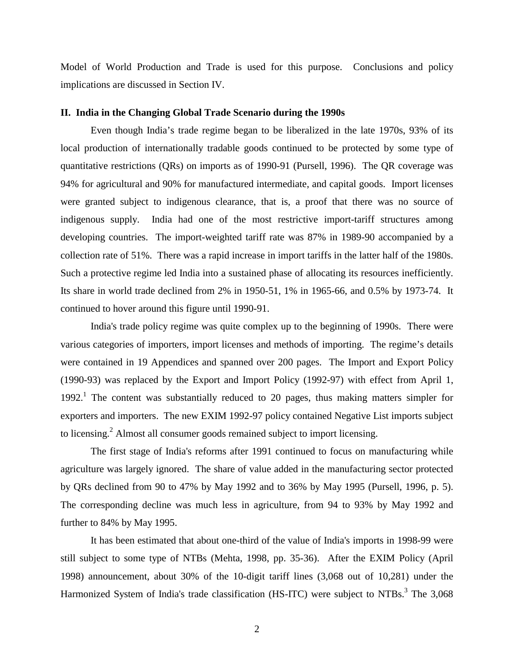Model of World Production and Trade is used for this purpose. Conclusions and policy implications are discussed in Section IV.

### **II. India in the Changing Global Trade Scenario during the 1990s**

Even though India's trade regime began to be liberalized in the late 1970s, 93% of its local production of internationally tradable goods continued to be protected by some type of quantitative restrictions (QRs) on imports as of 1990-91 (Pursell, 1996). The QR coverage was 94% for agricultural and 90% for manufactured intermediate, and capital goods. Import licenses were granted subject to indigenous clearance, that is, a proof that there was no source of indigenous supply. India had one of the most restrictive import-tariff structures among developing countries. The import-weighted tariff rate was 87% in 1989-90 accompanied by a collection rate of 51%. There was a rapid increase in import tariffs in the latter half of the 1980s. Such a protective regime led India into a sustained phase of allocating its resources inefficiently. Its share in world trade declined from 2% in 1950-51, 1% in 1965-66, and 0.5% by 1973-74. It continued to hover around this figure until 1990-91.

India's trade policy regime was quite complex up to the beginning of 1990s. There were various categories of importers, import licenses and methods of importing. The regime's details were contained in 19 Appendices and spanned over 200 pages. The Import and Export Policy (1990-93) was replaced by the Export and Import Policy (1992-97) with effect from April 1, 1992.<sup>1</sup> The content was substantially reduced to 20 pages, thus making matters simpler for exporters and importers. The new EXIM 1992-97 policy contained Negative List imports subject to licensing. $2$  Almost all consumer goods remained subject to import licensing.

The first stage of India's reforms after 1991 continued to focus on manufacturing while agriculture was largely ignored. The share of value added in the manufacturing sector protected by QRs declined from 90 to 47% by May 1992 and to 36% by May 1995 (Pursell, 1996, p. 5). The corresponding decline was much less in agriculture, from 94 to 93% by May 1992 and further to 84% by May 1995.

It has been estimated that about one-third of the value of India's imports in 1998-99 were still subject to some type of NTBs (Mehta, 1998, pp. 35-36). After the EXIM Policy (April 1998) announcement, about 30% of the 10-digit tariff lines (3,068 out of 10,281) under the Harmonized System of India's trade classification (HS-ITC) were subject to NTBs.<sup>3</sup> The 3,068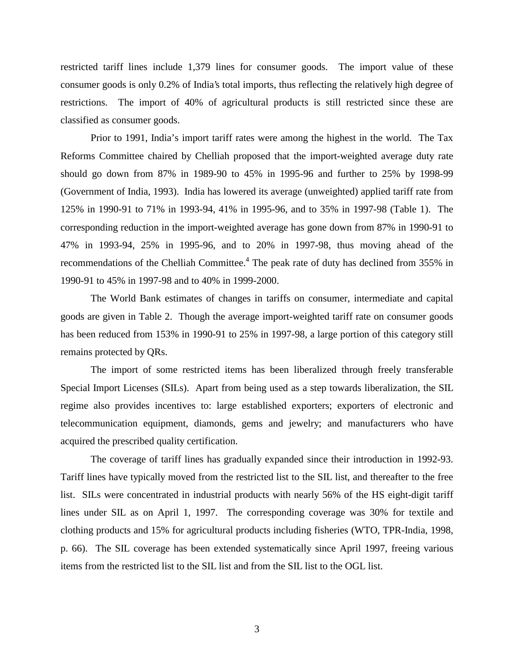restricted tariff lines include 1,379 lines for consumer goods. The import value of these consumer goods is only 0.2% of India's total imports, thus reflecting the relatively high degree of restrictions. The import of 40% of agricultural products is still restricted since these are classified as consumer goods.

Prior to 1991, India's import tariff rates were among the highest in the world. The Tax Reforms Committee chaired by Chelliah proposed that the import-weighted average duty rate should go down from 87% in 1989-90 to 45% in 1995-96 and further to 25% by 1998-99 (Government of India, 1993). India has lowered its average (unweighted) applied tariff rate from 125% in 1990-91 to 71% in 1993-94, 41% in 1995-96, and to 35% in 1997-98 (Table 1). The corresponding reduction in the import-weighted average has gone down from 87% in 1990-91 to 47% in 1993-94, 25% in 1995-96, and to 20% in 1997-98, thus moving ahead of the recommendations of the Chelliah Committee.<sup>4</sup> The peak rate of duty has declined from 355% in 1990-91 to 45% in 1997-98 and to 40% in 1999-2000.

The World Bank estimates of changes in tariffs on consumer, intermediate and capital goods are given in Table 2. Though the average import-weighted tariff rate on consumer goods has been reduced from 153% in 1990-91 to 25% in 1997-98, a large portion of this category still remains protected by QRs.

The import of some restricted items has been liberalized through freely transferable Special Import Licenses (SILs). Apart from being used as a step towards liberalization, the SIL regime also provides incentives to: large established exporters; exporters of electronic and telecommunication equipment, diamonds, gems and jewelry; and manufacturers who have acquired the prescribed quality certification.

The coverage of tariff lines has gradually expanded since their introduction in 1992-93. Tariff lines have typically moved from the restricted list to the SIL list, and thereafter to the free list. SILs were concentrated in industrial products with nearly 56% of the HS eight-digit tariff lines under SIL as on April 1, 1997. The corresponding coverage was 30% for textile and clothing products and 15% for agricultural products including fisheries (WTO, TPR-India, 1998, p. 66). The SIL coverage has been extended systematically since April 1997, freeing various items from the restricted list to the SIL list and from the SIL list to the OGL list.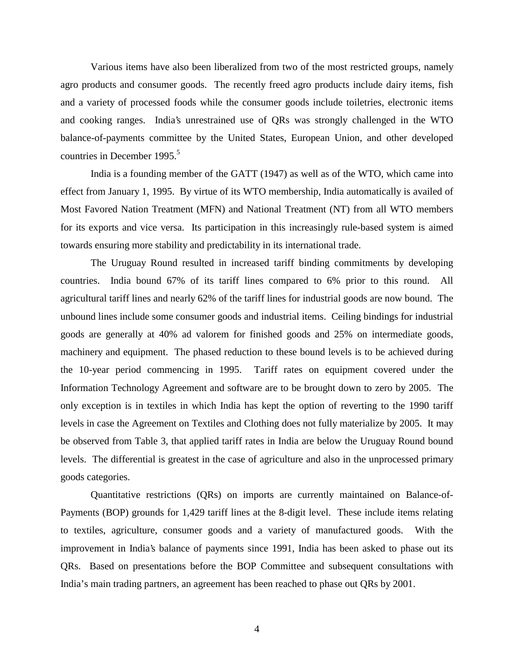Various items have also been liberalized from two of the most restricted groups, namely agro products and consumer goods. The recently freed agro products include dairy items, fish and a variety of processed foods while the consumer goods include toiletries, electronic items and cooking ranges. India's unrestrained use of QRs was strongly challenged in the WTO balance-of-payments committee by the United States, European Union, and other developed countries in December 1995.<sup>5</sup>

India is a founding member of the GATT (1947) as well as of the WTO, which came into effect from January 1, 1995. By virtue of its WTO membership, India automatically is availed of Most Favored Nation Treatment (MFN) and National Treatment (NT) from all WTO members for its exports and vice versa. Its participation in this increasingly rule-based system is aimed towards ensuring more stability and predictability in its international trade.

The Uruguay Round resulted in increased tariff binding commitments by developing countries. India bound 67% of its tariff lines compared to 6% prior to this round. All agricultural tariff lines and nearly 62% of the tariff lines for industrial goods are now bound. The unbound lines include some consumer goods and industrial items. Ceiling bindings for industrial goods are generally at 40% ad valorem for finished goods and 25% on intermediate goods, machinery and equipment. The phased reduction to these bound levels is to be achieved during the 10-year period commencing in 1995. Tariff rates on equipment covered under the Information Technology Agreement and software are to be brought down to zero by 2005. The only exception is in textiles in which India has kept the option of reverting to the 1990 tariff levels in case the Agreement on Textiles and Clothing does not fully materialize by 2005. It may be observed from Table 3, that applied tariff rates in India are below the Uruguay Round bound levels. The differential is greatest in the case of agriculture and also in the unprocessed primary goods categories.

Quantitative restrictions (QRs) on imports are currently maintained on Balance-of-Payments (BOP) grounds for 1,429 tariff lines at the 8-digit level. These include items relating to textiles, agriculture, consumer goods and a variety of manufactured goods. With the improvement in India's balance of payments since 1991, India has been asked to phase out its QRs. Based on presentations before the BOP Committee and subsequent consultations with India's main trading partners, an agreement has been reached to phase out QRs by 2001.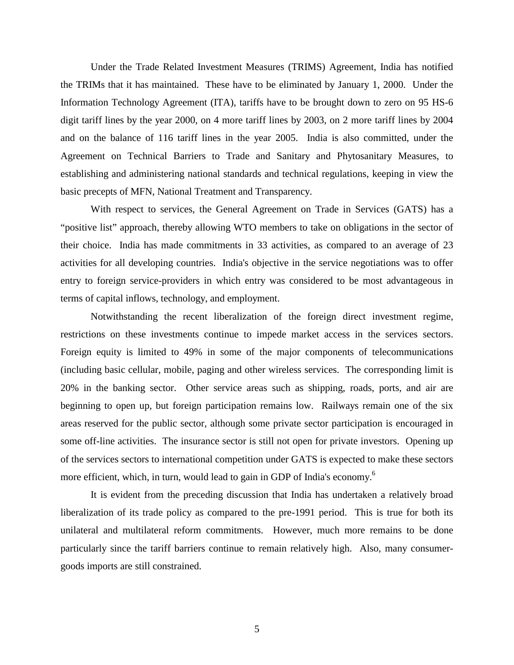Under the Trade Related Investment Measures (TRIMS) Agreement, India has notified the TRIMs that it has maintained. These have to be eliminated by January 1, 2000. Under the Information Technology Agreement (ITA), tariffs have to be brought down to zero on 95 HS-6 digit tariff lines by the year 2000, on 4 more tariff lines by 2003, on 2 more tariff lines by 2004 and on the balance of 116 tariff lines in the year 2005. India is also committed, under the Agreement on Technical Barriers to Trade and Sanitary and Phytosanitary Measures, to establishing and administering national standards and technical regulations, keeping in view the basic precepts of MFN, National Treatment and Transparency.

With respect to services, the General Agreement on Trade in Services (GATS) has a "positive list" approach, thereby allowing WTO members to take on obligations in the sector of their choice. India has made commitments in 33 activities, as compared to an average of 23 activities for all developing countries. India's objective in the service negotiations was to offer entry to foreign service-providers in which entry was considered to be most advantageous in terms of capital inflows, technology, and employment.

Notwithstanding the recent liberalization of the foreign direct investment regime, restrictions on these investments continue to impede market access in the services sectors. Foreign equity is limited to 49% in some of the major components of telecommunications (including basic cellular, mobile, paging and other wireless services. The corresponding limit is 20% in the banking sector. Other service areas such as shipping, roads, ports, and air are beginning to open up, but foreign participation remains low. Railways remain one of the six areas reserved for the public sector, although some private sector participation is encouraged in some off-line activities. The insurance sector is still not open for private investors. Opening up of the services sectors to international competition under GATS is expected to make these sectors more efficient, which, in turn, would lead to gain in GDP of India's economy.<sup>6</sup>

It is evident from the preceding discussion that India has undertaken a relatively broad liberalization of its trade policy as compared to the pre-1991 period. This is true for both its unilateral and multilateral reform commitments. However, much more remains to be done particularly since the tariff barriers continue to remain relatively high. Also, many consumergoods imports are still constrained.

5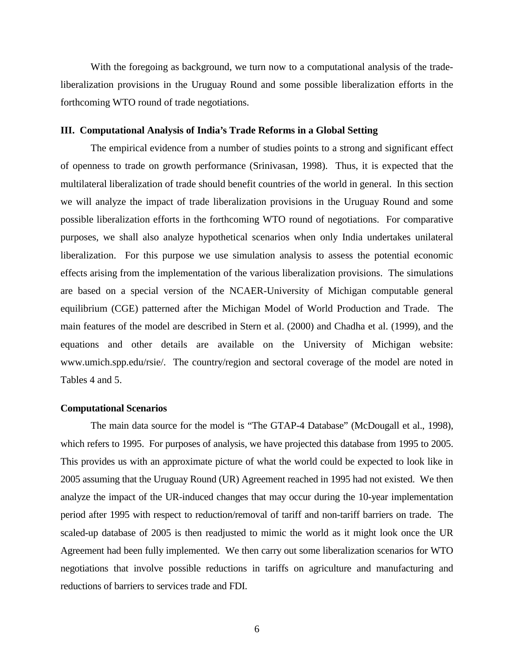With the foregoing as background, we turn now to a computational analysis of the tradeliberalization provisions in the Uruguay Round and some possible liberalization efforts in the forthcoming WTO round of trade negotiations.

### **III. Computational Analysis of India's Trade Reforms in a Global Setting**

The empirical evidence from a number of studies points to a strong and significant effect of openness to trade on growth performance (Srinivasan, 1998). Thus, it is expected that the multilateral liberalization of trade should benefit countries of the world in general. In this section we will analyze the impact of trade liberalization provisions in the Uruguay Round and some possible liberalization efforts in the forthcoming WTO round of negotiations. For comparative purposes, we shall also analyze hypothetical scenarios when only India undertakes unilateral liberalization. For this purpose we use simulation analysis to assess the potential economic effects arising from the implementation of the various liberalization provisions. The simulations are based on a special version of the NCAER-University of Michigan computable general equilibrium (CGE) patterned after the Michigan Model of World Production and Trade. The main features of the model are described in Stern et al. (2000) and Chadha et al. (1999), and the equations and other details are available on the University of Michigan website: www.umich.spp.edu/rsie/. The country/region and sectoral coverage of the model are noted in Tables 4 and 5.

#### **Computational Scenarios**

The main data source for the model is "The GTAP-4 Database" (McDougall et al., 1998), which refers to 1995. For purposes of analysis, we have projected this database from 1995 to 2005. This provides us with an approximate picture of what the world could be expected to look like in 2005 assuming that the Uruguay Round (UR) Agreement reached in 1995 had not existed. We then analyze the impact of the UR-induced changes that may occur during the 10-year implementation period after 1995 with respect to reduction/removal of tariff and non-tariff barriers on trade. The scaled-up database of 2005 is then readjusted to mimic the world as it might look once the UR Agreement had been fully implemented. We then carry out some liberalization scenarios for WTO negotiations that involve possible reductions in tariffs on agriculture and manufacturing and reductions of barriers to services trade and FDI.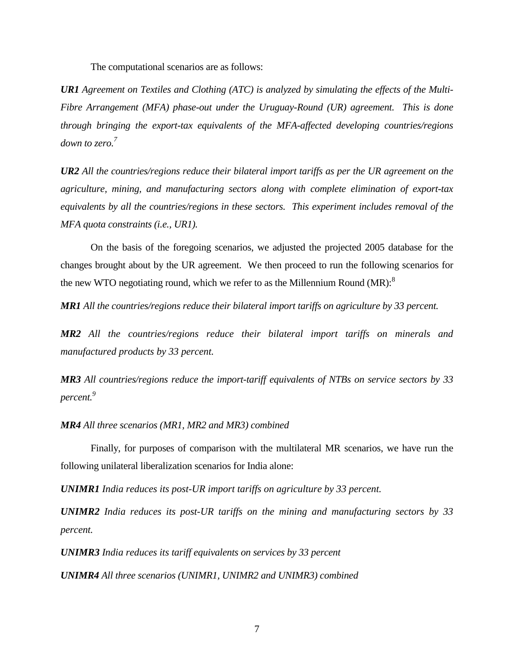The computational scenarios are as follows:

*UR1 Agreement on Textiles and Clothing (ATC) is analyzed by simulating the effects of the Multi-Fibre Arrangement (MFA) phase-out under the Uruguay-Round (UR) agreement. This is done through bringing the export-tax equivalents of the MFA-affected developing countries/regions down to zero.7*

*UR2 All the countries/regions reduce their bilateral import tariffs as per the UR agreement on the agriculture, mining, and manufacturing sectors along with complete elimination of export-tax equivalents by all the countries/regions in these sectors. This experiment includes removal of the MFA quota constraints (i.e., UR1).*

On the basis of the foregoing scenarios, we adjusted the projected 2005 database for the changes brought about by the UR agreement. We then proceed to run the following scenarios for the new WTO negotiating round, which we refer to as the Millennium Round  $(MR)$ :<sup>8</sup>

*MR1 All the countries/regions reduce their bilateral import tariffs on agriculture by 33 percent.*

*MR2 All the countries/regions reduce their bilateral import tariffs on minerals and manufactured products by 33 percent.*

*MR3 All countries/regions reduce the import-tariff equivalents of NTBs on service sectors by 33 percent.9*

*MR4 All three scenarios (MR1, MR2 and MR3) combined*

Finally, for purposes of comparison with the multilateral MR scenarios, we have run the following unilateral liberalization scenarios for India alone:

*UNIMR1 India reduces its post-UR import tariffs on agriculture by 33 percent.*

*UNIMR2 India reduces its post-UR tariffs on the mining and manufacturing sectors by 33 percent.*

*UNIMR3 India reduces its tariff equivalents on services by 33 percent UNIMR4 All three scenarios (UNIMR1, UNIMR2 and UNIMR3) combined*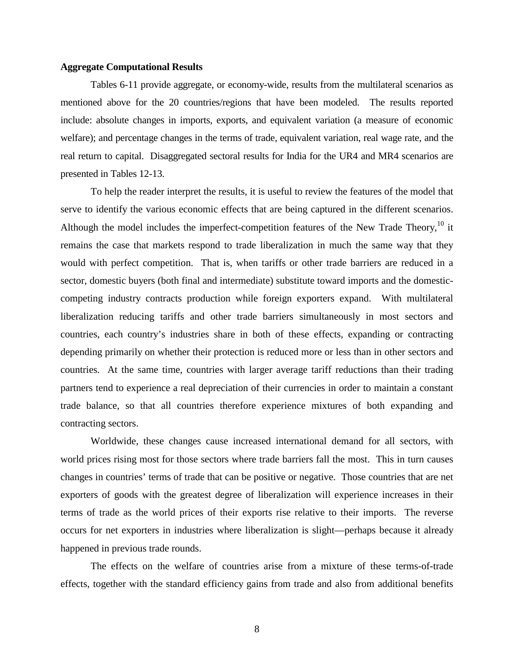### **Aggregate Computational Results**

Tables 6-11 provide aggregate, or economy-wide, results from the multilateral scenarios as mentioned above for the 20 countries/regions that have been modeled. The results reported include: absolute changes in imports, exports, and equivalent variation (a measure of economic welfare); and percentage changes in the terms of trade, equivalent variation, real wage rate, and the real return to capital. Disaggregated sectoral results for India for the UR4 and MR4 scenarios are presented in Tables 12-13.

To help the reader interpret the results, it is useful to review the features of the model that serve to identify the various economic effects that are being captured in the different scenarios. Although the model includes the imperfect-competition features of the New Trade Theory,<sup>10</sup> it remains the case that markets respond to trade liberalization in much the same way that they would with perfect competition. That is, when tariffs or other trade barriers are reduced in a sector, domestic buyers (both final and intermediate) substitute toward imports and the domesticcompeting industry contracts production while foreign exporters expand. With multilateral liberalization reducing tariffs and other trade barriers simultaneously in most sectors and countries, each country's industries share in both of these effects, expanding or contracting depending primarily on whether their protection is reduced more or less than in other sectors and countries. At the same time, countries with larger average tariff reductions than their trading partners tend to experience a real depreciation of their currencies in order to maintain a constant trade balance, so that all countries therefore experience mixtures of both expanding and contracting sectors.

Worldwide, these changes cause increased international demand for all sectors, with world prices rising most for those sectors where trade barriers fall the most. This in turn causes changes in countries' terms of trade that can be positive or negative. Those countries that are net exporters of goods with the greatest degree of liberalization will experience increases in their terms of trade as the world prices of their exports rise relative to their imports. The reverse occurs for net exporters in industries where liberalization is slight—perhaps because it already happened in previous trade rounds.

The effects on the welfare of countries arise from a mixture of these terms-of-trade effects, together with the standard efficiency gains from trade and also from additional benefits

8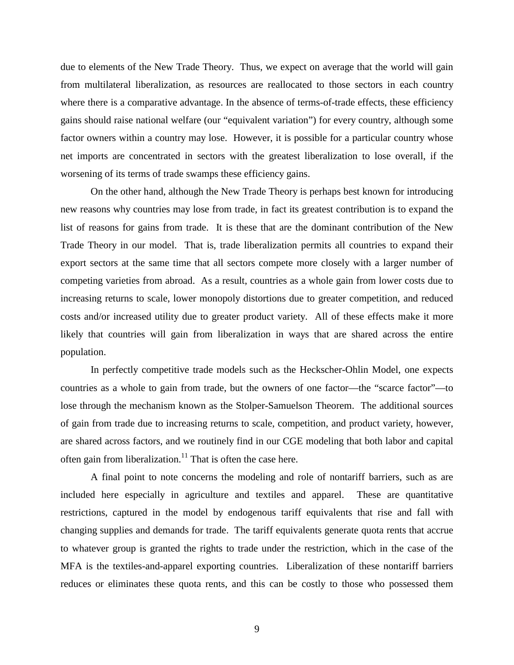due to elements of the New Trade Theory. Thus, we expect on average that the world will gain from multilateral liberalization, as resources are reallocated to those sectors in each country where there is a comparative advantage. In the absence of terms-of-trade effects, these efficiency gains should raise national welfare (our "equivalent variation") for every country, although some factor owners within a country may lose. However, it is possible for a particular country whose net imports are concentrated in sectors with the greatest liberalization to lose overall, if the worsening of its terms of trade swamps these efficiency gains.

On the other hand, although the New Trade Theory is perhaps best known for introducing new reasons why countries may lose from trade, in fact its greatest contribution is to expand the list of reasons for gains from trade. It is these that are the dominant contribution of the New Trade Theory in our model. That is, trade liberalization permits all countries to expand their export sectors at the same time that all sectors compete more closely with a larger number of competing varieties from abroad. As a result, countries as a whole gain from lower costs due to increasing returns to scale, lower monopoly distortions due to greater competition, and reduced costs and/or increased utility due to greater product variety. All of these effects make it more likely that countries will gain from liberalization in ways that are shared across the entire population.

In perfectly competitive trade models such as the Heckscher-Ohlin Model, one expects countries as a whole to gain from trade, but the owners of one factor—the "scarce factor"—to lose through the mechanism known as the Stolper-Samuelson Theorem. The additional sources of gain from trade due to increasing returns to scale, competition, and product variety, however, are shared across factors, and we routinely find in our CGE modeling that both labor and capital often gain from liberalization.<sup>11</sup> That is often the case here.

A final point to note concerns the modeling and role of nontariff barriers, such as are included here especially in agriculture and textiles and apparel. These are quantitative restrictions, captured in the model by endogenous tariff equivalents that rise and fall with changing supplies and demands for trade. The tariff equivalents generate quota rents that accrue to whatever group is granted the rights to trade under the restriction, which in the case of the MFA is the textiles-and-apparel exporting countries. Liberalization of these nontariff barriers reduces or eliminates these quota rents, and this can be costly to those who possessed them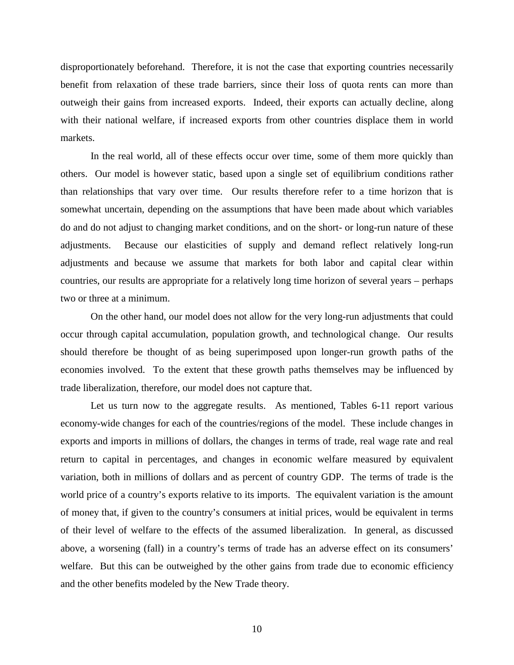disproportionately beforehand. Therefore, it is not the case that exporting countries necessarily benefit from relaxation of these trade barriers, since their loss of quota rents can more than outweigh their gains from increased exports. Indeed, their exports can actually decline, along with their national welfare, if increased exports from other countries displace them in world markets.

In the real world, all of these effects occur over time, some of them more quickly than others. Our model is however static, based upon a single set of equilibrium conditions rather than relationships that vary over time. Our results therefore refer to a time horizon that is somewhat uncertain, depending on the assumptions that have been made about which variables do and do not adjust to changing market conditions, and on the short- or long-run nature of these adjustments. Because our elasticities of supply and demand reflect relatively long-run adjustments and because we assume that markets for both labor and capital clear within countries, our results are appropriate for a relatively long time horizon of several years – perhaps two or three at a minimum.

On the other hand, our model does not allow for the very long-run adjustments that could occur through capital accumulation, population growth, and technological change. Our results should therefore be thought of as being superimposed upon longer-run growth paths of the economies involved. To the extent that these growth paths themselves may be influenced by trade liberalization, therefore, our model does not capture that.

Let us turn now to the aggregate results. As mentioned, Tables 6-11 report various economy-wide changes for each of the countries/regions of the model. These include changes in exports and imports in millions of dollars, the changes in terms of trade, real wage rate and real return to capital in percentages, and changes in economic welfare measured by equivalent variation, both in millions of dollars and as percent of country GDP. The terms of trade is the world price of a country's exports relative to its imports. The equivalent variation is the amount of money that, if given to the country's consumers at initial prices, would be equivalent in terms of their level of welfare to the effects of the assumed liberalization. In general, as discussed above, a worsening (fall) in a country's terms of trade has an adverse effect on its consumers' welfare. But this can be outweighed by the other gains from trade due to economic efficiency and the other benefits modeled by the New Trade theory.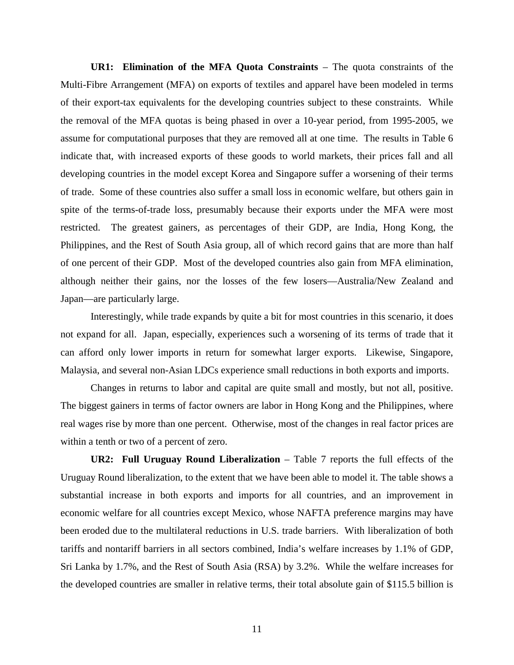**UR1: Elimination of the MFA Quota Constraints** – The quota constraints of the Multi-Fibre Arrangement (MFA) on exports of textiles and apparel have been modeled in terms of their export-tax equivalents for the developing countries subject to these constraints. While the removal of the MFA quotas is being phased in over a 10-year period, from 1995-2005, we assume for computational purposes that they are removed all at one time. The results in Table 6 indicate that, with increased exports of these goods to world markets, their prices fall and all developing countries in the model except Korea and Singapore suffer a worsening of their terms of trade. Some of these countries also suffer a small loss in economic welfare, but others gain in spite of the terms-of-trade loss, presumably because their exports under the MFA were most restricted. The greatest gainers, as percentages of their GDP, are India, Hong Kong, the Philippines, and the Rest of South Asia group, all of which record gains that are more than half of one percent of their GDP. Most of the developed countries also gain from MFA elimination, although neither their gains, nor the losses of the few losers—Australia/New Zealand and Japan—are particularly large.

Interestingly, while trade expands by quite a bit for most countries in this scenario, it does not expand for all. Japan, especially, experiences such a worsening of its terms of trade that it can afford only lower imports in return for somewhat larger exports. Likewise, Singapore, Malaysia, and several non-Asian LDCs experience small reductions in both exports and imports.

Changes in returns to labor and capital are quite small and mostly, but not all, positive. The biggest gainers in terms of factor owners are labor in Hong Kong and the Philippines, where real wages rise by more than one percent. Otherwise, most of the changes in real factor prices are within a tenth or two of a percent of zero.

**UR2: Full Uruguay Round Liberalization** – Table 7 reports the full effects of the Uruguay Round liberalization, to the extent that we have been able to model it. The table shows a substantial increase in both exports and imports for all countries, and an improvement in economic welfare for all countries except Mexico, whose NAFTA preference margins may have been eroded due to the multilateral reductions in U.S. trade barriers. With liberalization of both tariffs and nontariff barriers in all sectors combined, India's welfare increases by 1.1% of GDP, Sri Lanka by 1.7%, and the Rest of South Asia (RSA) by 3.2%. While the welfare increases for the developed countries are smaller in relative terms, their total absolute gain of \$115.5 billion is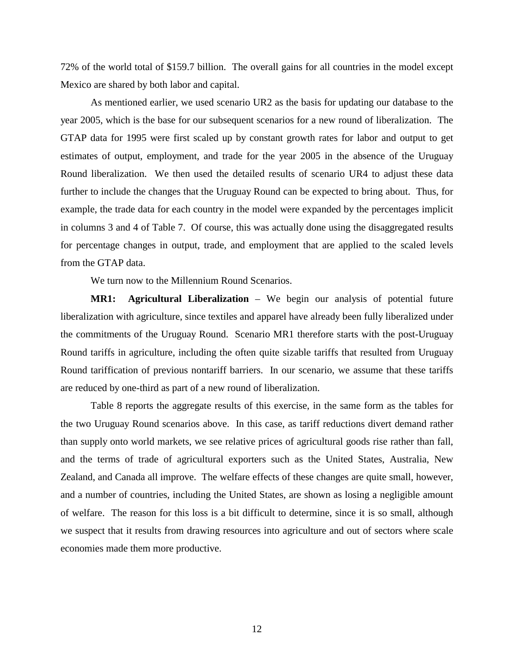72% of the world total of \$159.7 billion. The overall gains for all countries in the model except Mexico are shared by both labor and capital.

As mentioned earlier, we used scenario UR2 as the basis for updating our database to the year 2005, which is the base for our subsequent scenarios for a new round of liberalization. The GTAP data for 1995 were first scaled up by constant growth rates for labor and output to get estimates of output, employment, and trade for the year 2005 in the absence of the Uruguay Round liberalization. We then used the detailed results of scenario UR4 to adjust these data further to include the changes that the Uruguay Round can be expected to bring about. Thus, for example, the trade data for each country in the model were expanded by the percentages implicit in columns 3 and 4 of Table 7. Of course, this was actually done using the disaggregated results for percentage changes in output, trade, and employment that are applied to the scaled levels from the GTAP data.

We turn now to the Millennium Round Scenarios.

**MR1: Agricultural Liberalization** – We begin our analysis of potential future liberalization with agriculture, since textiles and apparel have already been fully liberalized under the commitments of the Uruguay Round. Scenario MR1 therefore starts with the post-Uruguay Round tariffs in agriculture, including the often quite sizable tariffs that resulted from Uruguay Round tariffication of previous nontariff barriers. In our scenario, we assume that these tariffs are reduced by one-third as part of a new round of liberalization.

Table 8 reports the aggregate results of this exercise, in the same form as the tables for the two Uruguay Round scenarios above. In this case, as tariff reductions divert demand rather than supply onto world markets, we see relative prices of agricultural goods rise rather than fall, and the terms of trade of agricultural exporters such as the United States, Australia, New Zealand, and Canada all improve. The welfare effects of these changes are quite small, however, and a number of countries, including the United States, are shown as losing a negligible amount of welfare. The reason for this loss is a bit difficult to determine, since it is so small, although we suspect that it results from drawing resources into agriculture and out of sectors where scale economies made them more productive.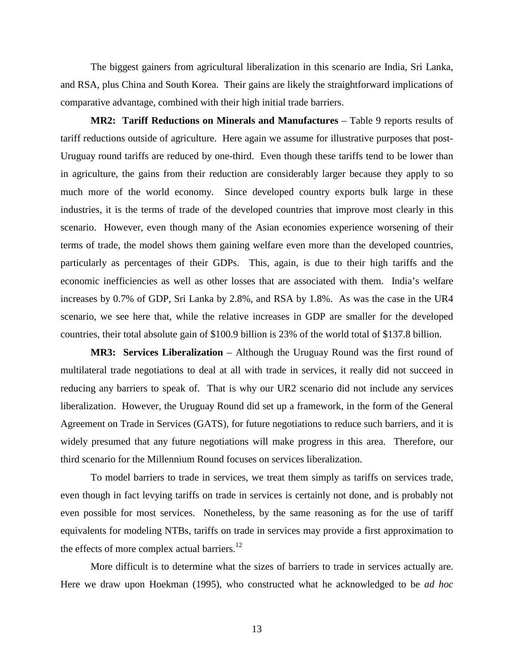The biggest gainers from agricultural liberalization in this scenario are India, Sri Lanka, and RSA, plus China and South Korea. Their gains are likely the straightforward implications of comparative advantage, combined with their high initial trade barriers.

**MR2: Tariff Reductions on Minerals and Manufactures** – Table 9 reports results of tariff reductions outside of agriculture. Here again we assume for illustrative purposes that post-Uruguay round tariffs are reduced by one-third. Even though these tariffs tend to be lower than in agriculture, the gains from their reduction are considerably larger because they apply to so much more of the world economy. Since developed country exports bulk large in these industries, it is the terms of trade of the developed countries that improve most clearly in this scenario. However, even though many of the Asian economies experience worsening of their terms of trade, the model shows them gaining welfare even more than the developed countries, particularly as percentages of their GDPs. This, again, is due to their high tariffs and the economic inefficiencies as well as other losses that are associated with them. India's welfare increases by 0.7% of GDP, Sri Lanka by 2.8%, and RSA by 1.8%. As was the case in the UR4 scenario, we see here that, while the relative increases in GDP are smaller for the developed countries, their total absolute gain of \$100.9 billion is 23% of the world total of \$137.8 billion.

**MR3: Services Liberalization** – Although the Uruguay Round was the first round of multilateral trade negotiations to deal at all with trade in services, it really did not succeed in reducing any barriers to speak of. That is why our UR2 scenario did not include any services liberalization. However, the Uruguay Round did set up a framework, in the form of the General Agreement on Trade in Services (GATS), for future negotiations to reduce such barriers, and it is widely presumed that any future negotiations will make progress in this area. Therefore, our third scenario for the Millennium Round focuses on services liberalization.

To model barriers to trade in services, we treat them simply as tariffs on services trade, even though in fact levying tariffs on trade in services is certainly not done, and is probably not even possible for most services. Nonetheless, by the same reasoning as for the use of tariff equivalents for modeling NTBs, tariffs on trade in services may provide a first approximation to the effects of more complex actual barriers.<sup>12</sup>

More difficult is to determine what the sizes of barriers to trade in services actually are. Here we draw upon Hoekman (1995), who constructed what he acknowledged to be *ad hoc*

13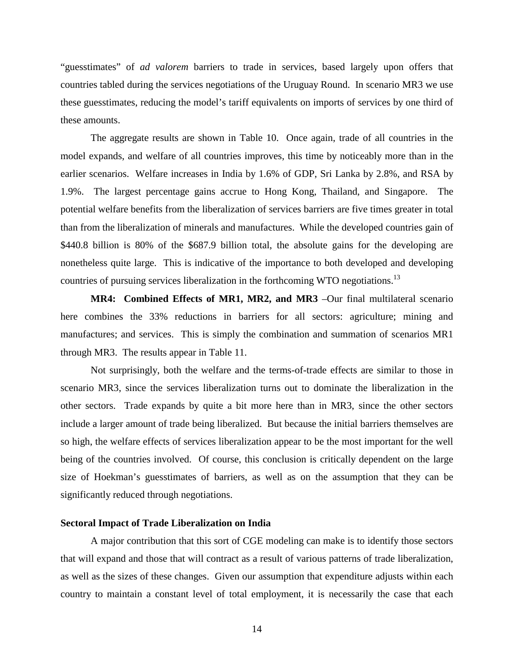"guesstimates" of *ad valorem* barriers to trade in services, based largely upon offers that countries tabled during the services negotiations of the Uruguay Round. In scenario MR3 we use these guesstimates, reducing the model's tariff equivalents on imports of services by one third of these amounts.

The aggregate results are shown in Table 10. Once again, trade of all countries in the model expands, and welfare of all countries improves, this time by noticeably more than in the earlier scenarios. Welfare increases in India by 1.6% of GDP, Sri Lanka by 2.8%, and RSA by 1.9%. The largest percentage gains accrue to Hong Kong, Thailand, and Singapore. The potential welfare benefits from the liberalization of services barriers are five times greater in total than from the liberalization of minerals and manufactures. While the developed countries gain of \$440.8 billion is 80% of the \$687.9 billion total, the absolute gains for the developing are nonetheless quite large. This is indicative of the importance to both developed and developing countries of pursuing services liberalization in the forthcoming WTO negotiations.<sup>13</sup>

**MR4: Combined Effects of MR1, MR2, and MR3** –Our final multilateral scenario here combines the 33% reductions in barriers for all sectors: agriculture; mining and manufactures; and services. This is simply the combination and summation of scenarios MR1 through MR3. The results appear in Table 11.

Not surprisingly, both the welfare and the terms-of-trade effects are similar to those in scenario MR3, since the services liberalization turns out to dominate the liberalization in the other sectors. Trade expands by quite a bit more here than in MR3, since the other sectors include a larger amount of trade being liberalized. But because the initial barriers themselves are so high, the welfare effects of services liberalization appear to be the most important for the well being of the countries involved. Of course, this conclusion is critically dependent on the large size of Hoekman's guesstimates of barriers, as well as on the assumption that they can be significantly reduced through negotiations.

### **Sectoral Impact of Trade Liberalization on India**

A major contribution that this sort of CGE modeling can make is to identify those sectors that will expand and those that will contract as a result of various patterns of trade liberalization, as well as the sizes of these changes. Given our assumption that expenditure adjusts within each country to maintain a constant level of total employment, it is necessarily the case that each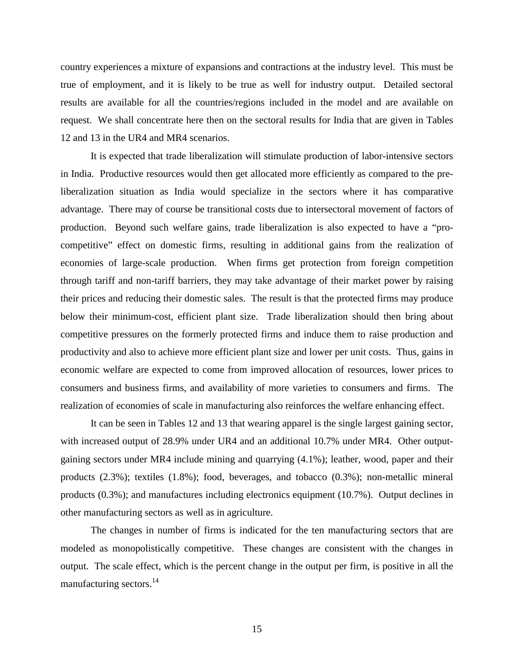country experiences a mixture of expansions and contractions at the industry level. This must be true of employment, and it is likely to be true as well for industry output. Detailed sectoral results are available for all the countries/regions included in the model and are available on request. We shall concentrate here then on the sectoral results for India that are given in Tables 12 and 13 in the UR4 and MR4 scenarios.

It is expected that trade liberalization will stimulate production of labor-intensive sectors in India. Productive resources would then get allocated more efficiently as compared to the preliberalization situation as India would specialize in the sectors where it has comparative advantage. There may of course be transitional costs due to intersectoral movement of factors of production. Beyond such welfare gains, trade liberalization is also expected to have a "procompetitive" effect on domestic firms, resulting in additional gains from the realization of economies of large-scale production. When firms get protection from foreign competition through tariff and non-tariff barriers, they may take advantage of their market power by raising their prices and reducing their domestic sales. The result is that the protected firms may produce below their minimum-cost, efficient plant size. Trade liberalization should then bring about competitive pressures on the formerly protected firms and induce them to raise production and productivity and also to achieve more efficient plant size and lower per unit costs. Thus, gains in economic welfare are expected to come from improved allocation of resources, lower prices to consumers and business firms, and availability of more varieties to consumers and firms. The realization of economies of scale in manufacturing also reinforces the welfare enhancing effect.

It can be seen in Tables 12 and 13 that wearing apparel is the single largest gaining sector, with increased output of 28.9% under UR4 and an additional 10.7% under MR4. Other outputgaining sectors under MR4 include mining and quarrying (4.1%); leather, wood, paper and their products (2.3%); textiles (1.8%); food, beverages, and tobacco (0.3%); non-metallic mineral products (0.3%); and manufactures including electronics equipment (10.7%). Output declines in other manufacturing sectors as well as in agriculture.

The changes in number of firms is indicated for the ten manufacturing sectors that are modeled as monopolistically competitive. These changes are consistent with the changes in output. The scale effect, which is the percent change in the output per firm, is positive in all the manufacturing sectors.<sup>14</sup>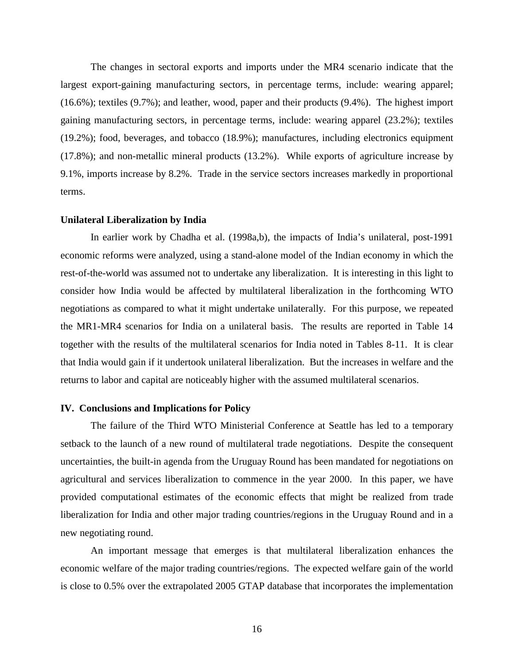The changes in sectoral exports and imports under the MR4 scenario indicate that the largest export-gaining manufacturing sectors, in percentage terms, include: wearing apparel; (16.6%); textiles (9.7%); and leather, wood, paper and their products (9.4%). The highest import gaining manufacturing sectors, in percentage terms, include: wearing apparel (23.2%); textiles (19.2%); food, beverages, and tobacco (18.9%); manufactures, including electronics equipment (17.8%); and non-metallic mineral products (13.2%). While exports of agriculture increase by 9.1%, imports increase by 8.2%. Trade in the service sectors increases markedly in proportional terms.

### **Unilateral Liberalization by India**

In earlier work by Chadha et al. (1998a,b), the impacts of India's unilateral, post-1991 economic reforms were analyzed, using a stand-alone model of the Indian economy in which the rest-of-the-world was assumed not to undertake any liberalization. It is interesting in this light to consider how India would be affected by multilateral liberalization in the forthcoming WTO negotiations as compared to what it might undertake unilaterally. For this purpose, we repeated the MR1-MR4 scenarios for India on a unilateral basis. The results are reported in Table 14 together with the results of the multilateral scenarios for India noted in Tables 8-11. It is clear that India would gain if it undertook unilateral liberalization. But the increases in welfare and the returns to labor and capital are noticeably higher with the assumed multilateral scenarios.

### **IV. Conclusions and Implications for Policy**

The failure of the Third WTO Ministerial Conference at Seattle has led to a temporary setback to the launch of a new round of multilateral trade negotiations. Despite the consequent uncertainties, the built-in agenda from the Uruguay Round has been mandated for negotiations on agricultural and services liberalization to commence in the year 2000. In this paper, we have provided computational estimates of the economic effects that might be realized from trade liberalization for India and other major trading countries/regions in the Uruguay Round and in a new negotiating round.

An important message that emerges is that multilateral liberalization enhances the economic welfare of the major trading countries/regions. The expected welfare gain of the world is close to 0.5% over the extrapolated 2005 GTAP database that incorporates the implementation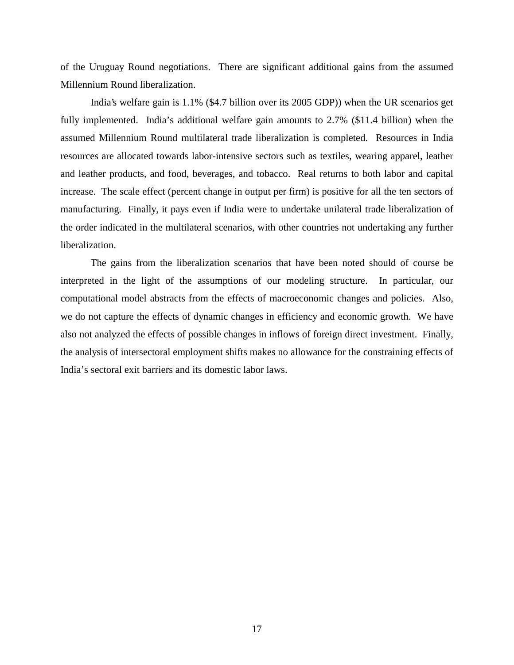of the Uruguay Round negotiations. There are significant additional gains from the assumed Millennium Round liberalization.

India's welfare gain is 1.1% (\$4.7 billion over its 2005 GDP)) when the UR scenarios get fully implemented. India's additional welfare gain amounts to 2.7% (\$11.4 billion) when the assumed Millennium Round multilateral trade liberalization is completed. Resources in India resources are allocated towards labor-intensive sectors such as textiles, wearing apparel, leather and leather products, and food, beverages, and tobacco. Real returns to both labor and capital increase. The scale effect (percent change in output per firm) is positive for all the ten sectors of manufacturing. Finally, it pays even if India were to undertake unilateral trade liberalization of the order indicated in the multilateral scenarios, with other countries not undertaking any further liberalization.

The gains from the liberalization scenarios that have been noted should of course be interpreted in the light of the assumptions of our modeling structure. In particular, our computational model abstracts from the effects of macroeconomic changes and policies. Also, we do not capture the effects of dynamic changes in efficiency and economic growth. We have also not analyzed the effects of possible changes in inflows of foreign direct investment. Finally, the analysis of intersectoral employment shifts makes no allowance for the constraining effects of India's sectoral exit barriers and its domestic labor laws.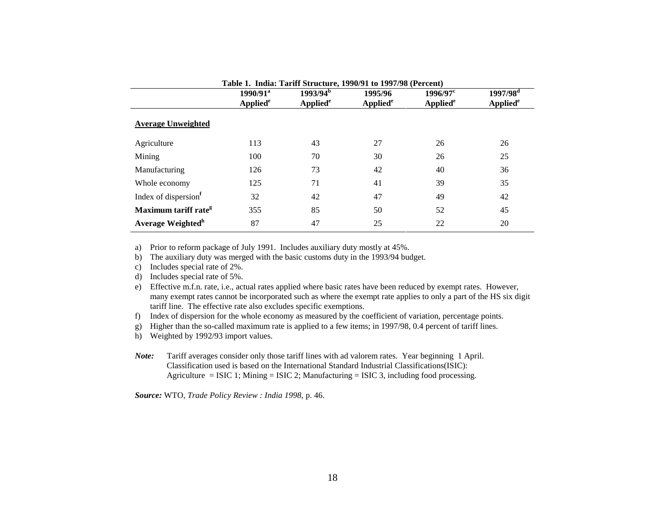|                                  | Table 1. India: Tariff Structure, 1990/91 to 1997/98 (Percent) |                             |                             |                             |                             |
|----------------------------------|----------------------------------------------------------------|-----------------------------|-----------------------------|-----------------------------|-----------------------------|
|                                  | $1990/91$ <sup>a</sup>                                         | 1993/94 <sup>b</sup>        | 1995/96                     | $1996/97^c$                 | $1997/98$ <sup>d</sup>      |
|                                  | <b>Applied<sup>e</sup></b>                                     | <b>Applied</b> <sup>e</sup> | <b>Applied</b> <sup>e</sup> | <b>Applied</b> <sup>e</sup> | <b>Applied</b> <sup>e</sup> |
| <b>Average Unweighted</b>        |                                                                |                             |                             |                             |                             |
| Agriculture                      | 113                                                            | 43                          | 27                          | 26                          | 26                          |
| Mining                           | 100                                                            | 70                          | 30                          | 26                          | 25                          |
| Manufacturing                    | 126                                                            | 73                          | 42                          | 40                          | 36                          |
| Whole economy                    | 125                                                            | 71                          | 41                          | 39                          | 35                          |
| Index of dispersion <sup>f</sup> | 32                                                             | 42                          | 47                          | 49                          | 42                          |
| Maximum tariff rate <sup>g</sup> | 355                                                            | 85                          | 50                          | 52                          | 45                          |
| Average Weighted <sup>h</sup>    | 87                                                             | 47                          | 25                          | 22                          | 20                          |

a) Prior to reform package of July 1991. Includes auxiliary duty mostly at 45%.

b) The auxiliary duty was merged with the basic customs duty in the 1993/94 budget.

c) Includes special rate of 2%.

d) Includes special rate of 5%.

e) Effective m.f.n. rate, i.e., actual rates applied where basic rates have been reduced by exempt rates. However, many exempt rates cannot be incorporated such as where the exempt rate applies to only a part of the HS six digit tariff line. The effective rate also excludes specific exemptions.

f) Index of dispersion for the whole economy as measured by the coefficient of variation, percentage points.

g) Higher than the so-called maximum rate is applied to a few items; in 1997/98, 0.4 percent of tariff lines.

h) Weighted by 1992/93 import values.

*Note:* Tariff averages consider only those tariff lines with ad valorem rates. Year beginning 1 April. Classification used is based on the International Standard Industrial Classifications(ISIC): Agriculture = ISIC 1; Mining = ISIC 2; Manufacturing = ISIC 3, including food processing.

*Source:* WTO, *Trade Policy Review : India 1998*, p. 46.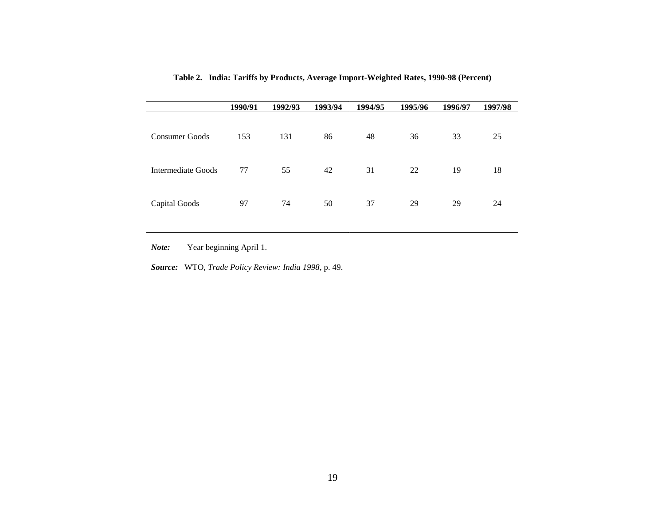|                    | 1990/91 | 1992/93 | 1993/94 | 1994/95 | 1995/96 | 1996/97 | 1997/98 |
|--------------------|---------|---------|---------|---------|---------|---------|---------|
| Consumer Goods     | 153     | 131     | 86      | 48      | 36      | 33      | 25      |
| Intermediate Goods | 77      | 55      | 42      | 31      | 22      | 19      | 18      |
| Capital Goods      | 97      | 74      | 50      | 37      | 29      | 29      | 24      |

| Table 2. India: Tariffs by Products, Average Import-Weighted Rates, 1990-98 (Percent) |  |
|---------------------------------------------------------------------------------------|--|
|                                                                                       |  |

*Note:* Year beginning April 1.

*Source:* WTO, *Trade Policy Review: India 1998*, p. 49.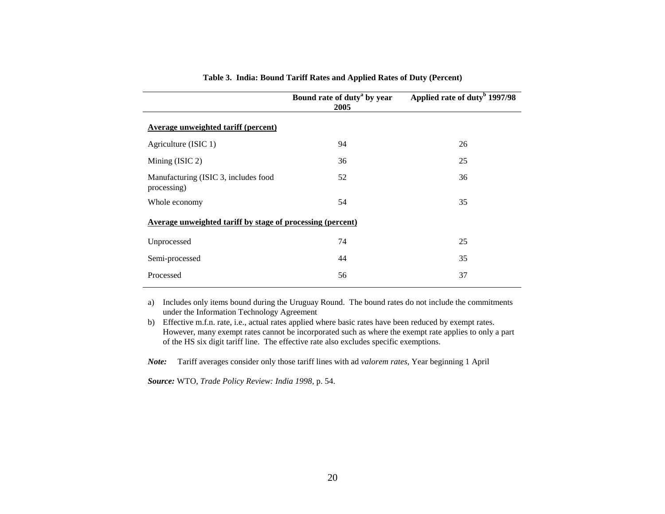|                                                                   | Bound rate of duty <sup>a</sup> by year<br>2005 | Applied rate of duty <sup>b</sup> 1997/98 |
|-------------------------------------------------------------------|-------------------------------------------------|-------------------------------------------|
| <b>Average unweighted tariff (percent)</b>                        |                                                 |                                           |
| Agriculture (ISIC 1)                                              | 94                                              | 26                                        |
| Mining (ISIC 2)                                                   | 36                                              | 25                                        |
| Manufacturing (ISIC 3, includes food<br>processing)               | 52                                              | 36                                        |
| Whole economy                                                     | 54                                              | 35                                        |
| <b>Average unweighted tariff by stage of processing (percent)</b> |                                                 |                                           |
| Unprocessed                                                       | 74                                              | 25                                        |
| Semi-processed                                                    | 44                                              | 35                                        |
| Processed                                                         | 56                                              | 37                                        |

### **Table 3. India: Bound Tariff Rates and Applied Rates of Duty (Percent)**

a) Includes only items bound during the Uruguay Round. The bound rates do not include the commitments under the Information Technology Agreement

b) Effective m.f.n. rate, i.e., actual rates applied where basic rates have been reduced by exempt rates. However, many exempt rates cannot be incorporated such as where the exempt rate applies to only a part of the HS six digit tariff line. The effective rate also excludes specific exemptions.

*Note:* Tariff averages consider only those tariff lines with ad *valorem rates*, Year beginning 1 April

*Source:* WTO, *Trade Policy Review: India 1998*, p. 54.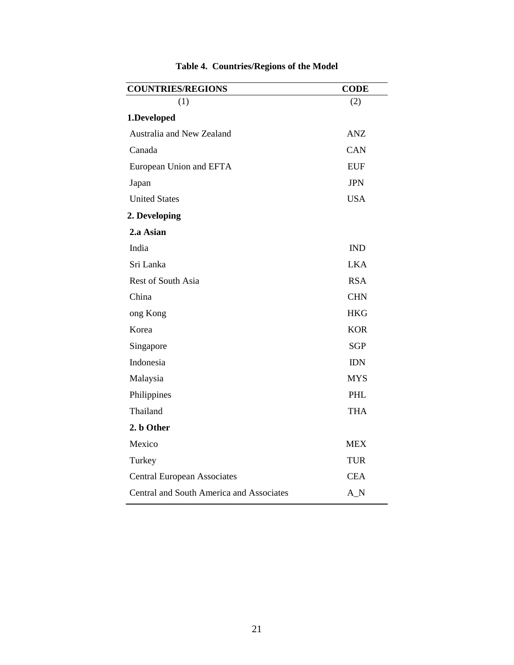| <b>COUNTRIES/REGIONS</b>                 | <b>CODE</b> |
|------------------------------------------|-------------|
| (1)                                      | (2)         |
| 1.Developed                              |             |
| Australia and New Zealand                | <b>ANZ</b>  |
| Canada                                   | <b>CAN</b>  |
| European Union and EFTA                  | <b>EUF</b>  |
| Japan                                    | <b>JPN</b>  |
| <b>United States</b>                     | <b>USA</b>  |
| 2. Developing                            |             |
| 2.a Asian                                |             |
| India                                    | IND         |
| Sri Lanka                                | <b>LKA</b>  |
| Rest of South Asia                       | <b>RSA</b>  |
| China                                    | <b>CHN</b>  |
| ong Kong                                 | <b>HKG</b>  |
| Korea                                    | <b>KOR</b>  |
| Singapore                                | <b>SGP</b>  |
| Indonesia                                | <b>IDN</b>  |
| Malaysia                                 | <b>MYS</b>  |
| Philippines                              | PHL         |
| Thailand                                 | <b>THA</b>  |
| 2. b Other                               |             |
| Mexico                                   | <b>MEX</b>  |
| Turkey                                   | <b>TUR</b>  |
| <b>Central European Associates</b>       | <b>CEA</b>  |
| Central and South America and Associates | $A_N$       |
|                                          |             |

# **Table 4. Countries/Regions of the Model**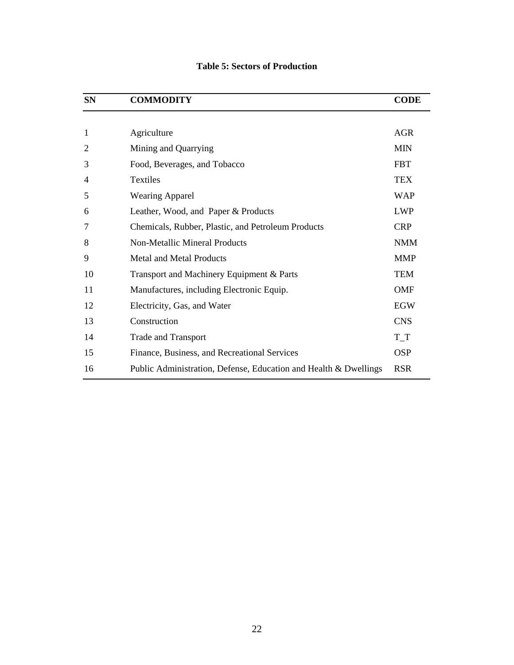| <b>SN</b> | <b>COMMODITY</b>                                                 | <b>CODE</b> |
|-----------|------------------------------------------------------------------|-------------|
|           |                                                                  |             |
| 1         | Agriculture                                                      | AGR         |
| 2         | Mining and Quarrying                                             | <b>MIN</b>  |
| 3         | Food, Beverages, and Tobacco                                     | <b>FBT</b>  |
| 4         | Textiles                                                         | <b>TEX</b>  |
| 5         | <b>Wearing Apparel</b>                                           | <b>WAP</b>  |
| 6         | Leather, Wood, and Paper & Products                              | <b>LWP</b>  |
| 7         | Chemicals, Rubber, Plastic, and Petroleum Products               | <b>CRP</b>  |
| 8         | <b>Non-Metallic Mineral Products</b>                             | <b>NMM</b>  |
| 9         | <b>Metal and Metal Products</b>                                  | <b>MMP</b>  |
| 10        | Transport and Machinery Equipment & Parts                        | <b>TEM</b>  |
| 11        | Manufactures, including Electronic Equip.                        | <b>OMF</b>  |
| 12        | Electricity, Gas, and Water                                      | <b>EGW</b>  |
| 13        | Construction                                                     | <b>CNS</b>  |
| 14        | <b>Trade and Transport</b>                                       | $T_T$       |
| 15        | Finance, Business, and Recreational Services                     | <b>OSP</b>  |
| 16        | Public Administration, Defense, Education and Health & Dwellings | <b>RSR</b>  |

# **Table 5: Sectors of Production**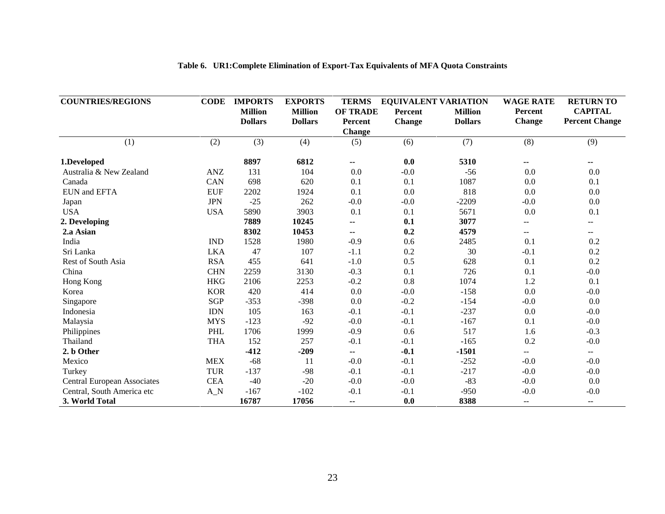| <b>COUNTRIES/REGIONS</b>           | <b>CODE</b> | <b>IMPORTS</b> | <b>EXPORTS</b> | <b>TERMS</b>             | <b>EQUIVALENT VARIATION</b> |                | <b>WAGE RATE</b>         | <b>RETURN TO</b>         |
|------------------------------------|-------------|----------------|----------------|--------------------------|-----------------------------|----------------|--------------------------|--------------------------|
|                                    |             | <b>Million</b> | <b>Million</b> | <b>OF TRADE</b>          | Percent                     | <b>Million</b> | Percent                  | <b>CAPITAL</b>           |
|                                    |             | <b>Dollars</b> | <b>Dollars</b> | Percent                  | <b>Change</b>               | <b>Dollars</b> | <b>Change</b>            | <b>Percent Change</b>    |
|                                    |             |                |                | <b>Change</b>            |                             |                |                          |                          |
| (1)                                | (2)         | (3)            | (4)            | (5)                      | (6)                         | (7)            | (8)                      | (9)                      |
| 1.Developed                        |             | 8897           | 6812           | $- -$                    | 0.0                         | 5310           | $\overline{\phantom{a}}$ | $\overline{\phantom{a}}$ |
| Australia & New Zealand            | ANZ         | 131            | 104            | 0.0                      | $-0.0$                      | $-56$          | 0.0                      | 0.0                      |
| Canada                             | CAN         | 698            | 620            | 0.1                      | 0.1                         | 1087           | 0.0                      | 0.1                      |
| <b>EUN</b> and <b>EFTA</b>         | <b>EUF</b>  | 2202           | 1924           | 0.1                      | 0.0                         | 818            | 0.0                      | 0.0                      |
| Japan                              | <b>JPN</b>  | $-25$          | 262            | $-0.0$                   | $-0.0$                      | $-2209$        | $-0.0$                   | 0.0                      |
| <b>USA</b>                         | <b>USA</b>  | 5890           | 3903           | 0.1                      | 0.1                         | 5671           | 0.0                      | 0.1                      |
| 2. Developing                      |             | 7889           | 10245          | $\overline{\phantom{a}}$ | 0.1                         | 3077           | $-$                      | $-$                      |
| 2.a Asian                          |             | 8302           | 10453          | ۰.                       | 0.2                         | 4579           | $\overline{\phantom{m}}$ | $\overline{\phantom{a}}$ |
| India                              | <b>IND</b>  | 1528           | 1980           | $-0.9$                   | 0.6                         | 2485           | 0.1                      | 0.2                      |
| Sri Lanka                          | <b>LKA</b>  | 47             | 107            | $-1.1$                   | 0.2                         | 30             | $-0.1$                   | 0.2                      |
| <b>Rest of South Asia</b>          | <b>RSA</b>  | 455            | 641            | $-1.0$                   | 0.5                         | 628            | 0.1                      | 0.2                      |
| China                              | <b>CHN</b>  | 2259           | 3130           | $-0.3$                   | 0.1                         | 726            | 0.1                      | $-0.0$                   |
| Hong Kong                          | <b>HKG</b>  | 2106           | 2253           | $-0.2$                   | 0.8                         | 1074           | 1.2                      | 0.1                      |
| Korea                              | <b>KOR</b>  | 420            | 414            | 0.0                      | $-0.0$                      | $-158$         | 0.0                      | $-0.0$                   |
| Singapore                          | <b>SGP</b>  | $-353$         | $-398$         | 0.0                      | $-0.2$                      | $-154$         | $-0.0$                   | 0.0                      |
| Indonesia                          | <b>IDN</b>  | 105            | 163            | $-0.1$                   | $-0.1$                      | $-237$         | 0.0                      | $-0.0$                   |
| Malaysia                           | <b>MYS</b>  | $-123$         | $-92$          | $-0.0$                   | $-0.1$                      | $-167$         | 0.1                      | $-0.0$                   |
| Philippines                        | PHL         | 1706           | 1999           | $-0.9$                   | 0.6                         | 517            | 1.6                      | $-0.3$                   |
| Thailand                           | <b>THA</b>  | 152            | 257            | $-0.1$                   | $-0.1$                      | $-165$         | 0.2                      | $-0.0$                   |
| 2. b Other                         |             | $-412$         | $-209$         | ۰.                       | $-0.1$                      | $-1501$        | $\qquad \qquad -$        | $- -$                    |
| Mexico                             | <b>MEX</b>  | $-68$          | 11             | $-0.0$                   | $-0.1$                      | $-252$         | $-0.0$                   | $-0.0$                   |
| Turkey                             | <b>TUR</b>  | $-137$         | $-98$          | $-0.1$                   | $-0.1$                      | $-217$         | $-0.0$                   | $-0.0$                   |
| <b>Central European Associates</b> | <b>CEA</b>  | $-40$          | $-20$          | $-0.0$                   | $-0.0$                      | $-83$          | $-0.0$                   | 0.0                      |
| Central, South America etc         | $A_N$       | $-167$         | $-102$         | $-0.1$                   | $-0.1$                      | $-950$         | $-0.0$                   | $-0.0$                   |
| 3. World Total                     |             | 16787          | 17056          | ۰.                       | 0.0                         | 8388           | $--$                     | $\mathbf{u}$             |

## **Table 6. UR1:Complete Elimination of Export-Tax Equivalents of MFA Quota Constraints**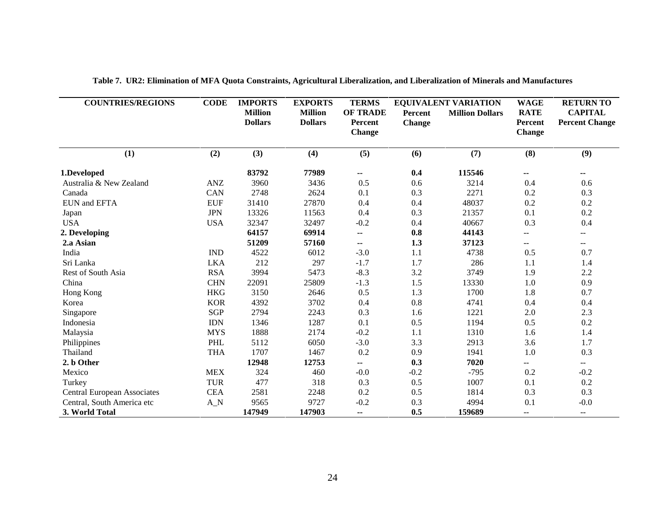| <b>COUNTRIES/REGIONS</b>    | <b>CODE</b> | <b>IMPORTS</b><br><b>Million</b><br><b>Dollars</b> | <b>EXPORTS</b><br><b>Million</b><br><b>Dollars</b> | <b>TERMS</b><br><b>OF TRADE</b><br>Percent<br><b>Change</b> | Percent<br><b>Change</b> | <b>EQUIVALENT VARIATION</b><br><b>Million Dollars</b> | <b>WAGE</b><br><b>RATE</b><br>Percent<br><b>Change</b> | <b>RETURN TO</b><br><b>CAPITAL</b><br><b>Percent Change</b> |
|-----------------------------|-------------|----------------------------------------------------|----------------------------------------------------|-------------------------------------------------------------|--------------------------|-------------------------------------------------------|--------------------------------------------------------|-------------------------------------------------------------|
| (1)                         | (2)         | (3)                                                | (4)                                                | (5)                                                         | (6)                      | (7)                                                   | (8)                                                    | (9)                                                         |
| 1.Developed                 |             | 83792                                              | 77989                                              | ۰.                                                          | 0.4                      | 115546                                                | ۰.                                                     | --                                                          |
| Australia & New Zealand     | <b>ANZ</b>  | 3960                                               | 3436                                               | 0.5                                                         | 0.6                      | 3214                                                  | 0.4                                                    | 0.6                                                         |
| Canada                      | CAN         | 2748                                               | 2624                                               | 0.1                                                         | 0.3                      | 2271                                                  | 0.2                                                    | 0.3                                                         |
| <b>EUN</b> and <b>EFTA</b>  | <b>EUF</b>  | 31410                                              | 27870                                              | 0.4                                                         | 0.4                      | 48037                                                 | 0.2                                                    | 0.2                                                         |
| Japan                       | <b>JPN</b>  | 13326                                              | 11563                                              | 0.4                                                         | 0.3                      | 21357                                                 | 0.1                                                    | 0.2                                                         |
| <b>USA</b>                  | <b>USA</b>  | 32347                                              | 32497                                              | $-0.2$                                                      | 0.4                      | 40667                                                 | 0.3                                                    | 0.4                                                         |
| 2. Developing               |             | 64157                                              | 69914                                              | ۰.                                                          | 0.8                      | 44143                                                 | $\hspace{0.05cm} -\hspace{0.05cm} -\hspace{0.05cm}$    | --                                                          |
| 2.a Asian                   |             | 51209                                              | 57160                                              | --                                                          | 1.3                      | 37123                                                 | $\overline{\phantom{a}}$                               | $- -$                                                       |
| India                       | <b>IND</b>  | 4522                                               | 6012                                               | $-3.0$                                                      | 1.1                      | 4738                                                  | 0.5                                                    | 0.7                                                         |
| Sri Lanka                   | <b>LKA</b>  | 212                                                | 297                                                | $-1.7$                                                      | 1.7                      | 286                                                   | 1.1                                                    | 1.4                                                         |
| Rest of South Asia          | <b>RSA</b>  | 3994                                               | 5473                                               | $-8.3$                                                      | 3.2                      | 3749                                                  | 1.9                                                    | 2.2                                                         |
| China                       | <b>CHN</b>  | 22091                                              | 25809                                              | $-1.3$                                                      | 1.5                      | 13330                                                 | 1.0                                                    | 0.9                                                         |
| Hong Kong                   | <b>HKG</b>  | 3150                                               | 2646                                               | 0.5                                                         | 1.3                      | 1700                                                  | 1.8                                                    | 0.7                                                         |
| Korea                       | <b>KOR</b>  | 4392                                               | 3702                                               | 0.4                                                         | 0.8                      | 4741                                                  | 0.4                                                    | 0.4                                                         |
| Singapore                   | <b>SGP</b>  | 2794                                               | 2243                                               | 0.3                                                         | 1.6                      | 1221                                                  | 2.0                                                    | 2.3                                                         |
| Indonesia                   | <b>IDN</b>  | 1346                                               | 1287                                               | 0.1                                                         | 0.5                      | 1194                                                  | 0.5                                                    | 0.2                                                         |
| Malaysia                    | <b>MYS</b>  | 1888                                               | 2174                                               | $-0.2$                                                      | 1.1                      | 1310                                                  | 1.6                                                    | 1.4                                                         |
| Philippines                 | PHL         | 5112                                               | 6050                                               | $-3.0$                                                      | 3.3                      | 2913                                                  | 3.6                                                    | 1.7                                                         |
| Thailand                    | <b>THA</b>  | 1707                                               | 1467                                               | 0.2                                                         | 0.9                      | 1941                                                  | 1.0                                                    | 0.3                                                         |
| 2. b Other                  |             | 12948                                              | 12753                                              | ۰.                                                          | 0.3                      | 7020                                                  | $- -$                                                  | $- -$                                                       |
| Mexico                      | <b>MEX</b>  | 324                                                | 460                                                | $-0.0$                                                      | $-0.2$                   | $-795$                                                | 0.2                                                    | $-0.2$                                                      |
| Turkey                      | <b>TUR</b>  | 477                                                | 318                                                | 0.3                                                         | 0.5                      | 1007                                                  | 0.1                                                    | 0.2                                                         |
| Central European Associates | <b>CEA</b>  | 2581                                               | 2248                                               | 0.2                                                         | 0.5                      | 1814                                                  | 0.3                                                    | 0.3                                                         |
| Central, South America etc  | $A_N$       | 9565                                               | 9727                                               | $-0.2$                                                      | 0.3                      | 4994                                                  | 0.1                                                    | $-0.0$                                                      |
| 3. World Total              |             | 147949                                             | 147903                                             | ۰.                                                          | 0.5                      | 159689                                                | $\overline{\phantom{m}}$                               | $- -$                                                       |

**Table 7. UR2: Elimination of MFA Quota Constraints, Agricultural Liberalization, and Liberalization of Minerals and Manufactures**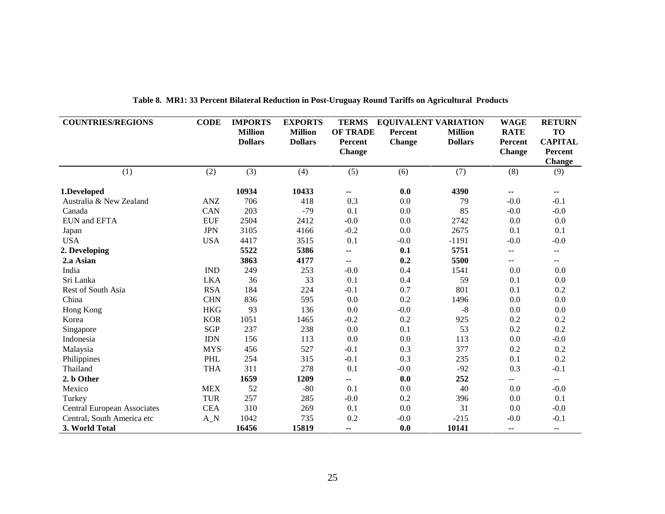| <b>COUNTRIES/REGIONS</b>           | <b>CODE</b> | <b>IMPORTS</b><br><b>Million</b><br><b>Dollars</b> | <b>EXPORTS</b><br><b>Million</b><br><b>Dollars</b> | <b>TERMS</b><br><b>OF TRADE</b><br>Percent<br><b>Change</b> | <b>EQUIVALENT VARIATION</b><br><b>Percent</b><br><b>Change</b> | <b>Million</b><br><b>Dollars</b> | <b>WAGE</b><br><b>RATE</b><br>Percent<br><b>Change</b> | <b>RETURN</b><br><b>TO</b><br><b>CAPITAL</b><br>Percent<br><b>Change</b> |
|------------------------------------|-------------|----------------------------------------------------|----------------------------------------------------|-------------------------------------------------------------|----------------------------------------------------------------|----------------------------------|--------------------------------------------------------|--------------------------------------------------------------------------|
| (1)                                | (2)         | (3)                                                | (4)                                                | (5)                                                         | (6)                                                            | (7)                              | (8)                                                    | (9)                                                                      |
| 1.Developed                        |             | 10934                                              | 10433                                              | ۰.                                                          | 0.0                                                            | 4390                             | --                                                     | ۰.                                                                       |
| Australia & New Zealand            | ANZ         | 706                                                | 418                                                | 0.3                                                         | 0.0                                                            | 79                               | $-0.0$                                                 | $-0.1$                                                                   |
| Canada                             | CAN         | 203                                                | $-79$                                              | 0.1                                                         | 0.0                                                            | 85                               | $-0.0$                                                 | $-0.0$                                                                   |
| <b>EUN</b> and <b>EFTA</b>         | <b>EUF</b>  | 2504                                               | 2412                                               | $-0.0$                                                      | 0.0                                                            | 2742                             | 0.0                                                    | 0.0                                                                      |
| Japan                              | <b>JPN</b>  | 3105                                               | 4166                                               | $-0.2$                                                      | 0.0                                                            | 2675                             | 0.1                                                    | 0.1                                                                      |
| <b>USA</b>                         | <b>USA</b>  | 4417                                               | 3515                                               | 0.1                                                         | $-0.0$                                                         | $-1191$                          | $-0.0$                                                 | $-0.0$                                                                   |
| 2. Developing                      |             | 5522                                               | 5386                                               | ۰.                                                          | 0.1                                                            | 5751                             | --                                                     | $- -$                                                                    |
| 2.a Asian                          |             | 3863                                               | 4177                                               | ۰.                                                          | 0.2                                                            | 5500                             | $- -$                                                  | $- -$                                                                    |
| India                              | <b>IND</b>  | 249                                                | 253                                                | $-0.0$                                                      | 0.4                                                            | 1541                             | 0.0                                                    | 0.0                                                                      |
| Sri Lanka                          | <b>LKA</b>  | 36                                                 | 33                                                 | 0.1                                                         | 0.4                                                            | 59                               | 0.1                                                    | 0.0                                                                      |
| <b>Rest of South Asia</b>          | <b>RSA</b>  | 184                                                | 224                                                | $-0.1$                                                      | 0.7                                                            | 801                              | 0.1                                                    | 0.2                                                                      |
| China                              | <b>CHN</b>  | 836                                                | 595                                                | 0.0                                                         | 0.2                                                            | 1496                             | 0.0                                                    | 0.0                                                                      |
| Hong Kong                          | <b>HKG</b>  | 93                                                 | 136                                                | 0.0                                                         | $-0.0$                                                         | $-8$                             | 0.0                                                    | 0.0                                                                      |
| Korea                              | <b>KOR</b>  | 1051                                               | 1465                                               | $-0.2$                                                      | 0.2                                                            | 925                              | 0.2                                                    | 0.2                                                                      |
| Singapore                          | <b>SGP</b>  | 237                                                | 238                                                | 0.0                                                         | 0.1                                                            | 53                               | 0.2                                                    | 0.2                                                                      |
| Indonesia                          | <b>IDN</b>  | 156                                                | 113                                                | 0.0                                                         | 0.0                                                            | 113                              | 0.0                                                    | $-0.0$                                                                   |
| Malaysia                           | <b>MYS</b>  | 456                                                | 527                                                | $-0.1$                                                      | 0.3                                                            | 377                              | 0.2                                                    | 0.2                                                                      |
| Philippines                        | <b>PHL</b>  | 254                                                | 315                                                | $-0.1$                                                      | 0.3                                                            | 235                              | 0.1                                                    | 0.2                                                                      |
| Thailand                           | <b>THA</b>  | 311                                                | 278                                                | 0.1                                                         | $-0.0$                                                         | $-92$                            | 0.3                                                    | $-0.1$                                                                   |
| 2. b Other                         |             | 1659                                               | 1209                                               | ۰.                                                          | 0.0                                                            | 252                              | --                                                     | $- -$                                                                    |
| Mexico                             | <b>MEX</b>  | 52                                                 | $-80$                                              | 0.1                                                         | 0.0                                                            | 40                               | 0.0                                                    | $-0.0$                                                                   |
| Turkey                             | <b>TUR</b>  | 257                                                | 285                                                | $-0.0$                                                      | 0.2                                                            | 396                              | 0.0                                                    | 0.1                                                                      |
| <b>Central European Associates</b> | <b>CEA</b>  | 310                                                | 269                                                | 0.1                                                         | 0.0                                                            | 31                               | 0.0                                                    | $-0.0$                                                                   |
| Central, South America etc         | $A_N$       | 1042                                               | 735                                                | 0.2                                                         | $-0.0$                                                         | $-215$                           | $-0.0$                                                 | $-0.1$                                                                   |
| 3. World Total                     |             | 16456                                              | 15819                                              | --                                                          | 0.0                                                            | 10141                            | --                                                     | --                                                                       |

## **Table 8. MR1: 33 Percent Bilateral Reduction in Post-Uruguay Round Tariffs on Agricultural Products**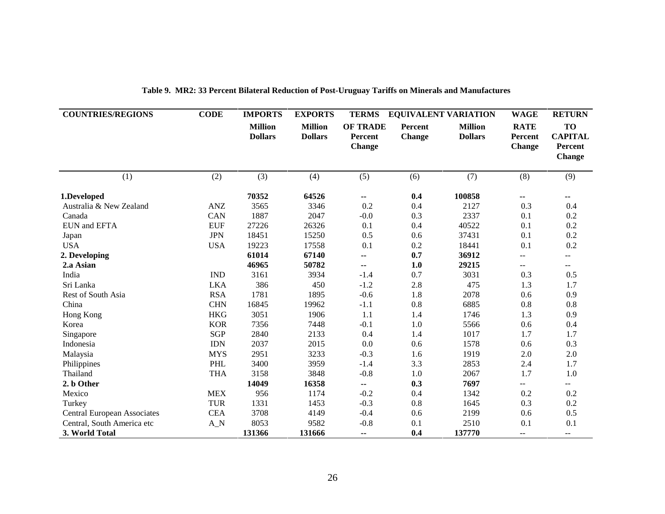| <b>COUNTRIES/REGIONS</b>           | <b>CODE</b> | <b>IMPORTS</b>                   | <b>EXPORTS</b>                   | <b>TERMS</b>                                | <b>EQUIVALENT VARIATION</b>     |                                  | <b>WAGE</b>                             | <b>RETURN</b>                                                  |
|------------------------------------|-------------|----------------------------------|----------------------------------|---------------------------------------------|---------------------------------|----------------------------------|-----------------------------------------|----------------------------------------------------------------|
|                                    |             | <b>Million</b><br><b>Dollars</b> | <b>Million</b><br><b>Dollars</b> | <b>OF TRADE</b><br>Percent<br><b>Change</b> | <b>Percent</b><br><b>Change</b> | <b>Million</b><br><b>Dollars</b> | <b>RATE</b><br><b>Percent</b><br>Change | <b>TO</b><br><b>CAPITAL</b><br><b>Percent</b><br><b>Change</b> |
| (1)                                | (2)         | (3)                              | (4)                              | (5)                                         | (6)                             | (7)                              | (8)                                     | (9)                                                            |
| 1.Developed                        |             | 70352                            | 64526                            | --                                          | 0.4                             | 100858                           | ۰.                                      | $- -$                                                          |
| Australia & New Zealand            | <b>ANZ</b>  | 3565                             | 3346                             | 0.2                                         | 0.4                             | 2127                             | 0.3                                     | 0.4                                                            |
| Canada                             | CAN         | 1887                             | 2047                             | $-0.0$                                      | 0.3                             | 2337                             | 0.1                                     | 0.2                                                            |
| EUN and EFTA                       | <b>EUF</b>  | 27226                            | 26326                            | 0.1                                         | 0.4                             | 40522                            | 0.1                                     | 0.2                                                            |
| Japan                              | <b>JPN</b>  | 18451                            | 15250                            | 0.5                                         | 0.6                             | 37431                            | 0.1                                     | 0.2                                                            |
| <b>USA</b>                         | <b>USA</b>  | 19223                            | 17558                            | 0.1                                         | 0.2                             | 18441                            | 0.1                                     | 0.2                                                            |
| 2. Developing                      |             | 61014                            | 67140                            | ۰.                                          | 0.7                             | 36912                            | $-$                                     | $\overline{\phantom{a}}$                                       |
| 2.a Asian                          |             | 46965                            | 50782                            | --                                          | 1.0                             | 29215                            | --                                      | $- -$                                                          |
| India                              | <b>IND</b>  | 3161                             | 3934                             | $-1.4$                                      | 0.7                             | 3031                             | 0.3                                     | 0.5                                                            |
| Sri Lanka                          | <b>LKA</b>  | 386                              | 450                              | $-1.2$                                      | 2.8                             | 475                              | 1.3                                     | 1.7                                                            |
| Rest of South Asia                 | <b>RSA</b>  | 1781                             | 1895                             | $-0.6$                                      | 1.8                             | 2078                             | 0.6                                     | 0.9                                                            |
| China                              | <b>CHN</b>  | 16845                            | 19962                            | $-1.1$                                      | 0.8                             | 6885                             | 0.8                                     | 0.8                                                            |
| Hong Kong                          | <b>HKG</b>  | 3051                             | 1906                             | 1.1                                         | 1.4                             | 1746                             | 1.3                                     | 0.9                                                            |
| Korea                              | <b>KOR</b>  | 7356                             | 7448                             | $-0.1$                                      | 1.0                             | 5566                             | 0.6                                     | 0.4                                                            |
| Singapore                          | <b>SGP</b>  | 2840                             | 2133                             | 0.4                                         | 1.4                             | 1017                             | 1.7                                     | 1.7                                                            |
| Indonesia                          | <b>IDN</b>  | 2037                             | 2015                             | 0.0                                         | 0.6                             | 1578                             | 0.6                                     | 0.3                                                            |
| Malaysia                           | <b>MYS</b>  | 2951                             | 3233                             | $-0.3$                                      | 1.6                             | 1919                             | 2.0                                     | 2.0                                                            |
| Philippines                        | PHL         | 3400                             | 3959                             | $-1.4$                                      | 3.3                             | 2853                             | 2.4                                     | 1.7                                                            |
| Thailand                           | <b>THA</b>  | 3158                             | 3848                             | $-0.8$                                      | 1.0                             | 2067                             | 1.7                                     | 1.0                                                            |
| 2. b Other                         |             | 14049                            | 16358                            | ۰.                                          | 0.3                             | 7697                             | $-$                                     | $\sim$ $-$                                                     |
| Mexico                             | <b>MEX</b>  | 956                              | 1174                             | $-0.2$                                      | 0.4                             | 1342                             | 0.2                                     | 0.2                                                            |
| Turkey                             | <b>TUR</b>  | 1331                             | 1453                             | $-0.3$                                      | 0.8                             | 1645                             | 0.3                                     | 0.2                                                            |
| <b>Central European Associates</b> | <b>CEA</b>  | 3708                             | 4149                             | $-0.4$                                      | 0.6                             | 2199                             | 0.6                                     | 0.5                                                            |
| Central, South America etc         | $A_N$       | 8053                             | 9582                             | $-0.8$                                      | 0.1                             | 2510                             | 0.1                                     | 0.1                                                            |
| 3. World Total                     |             | 131366                           | 131666                           | ۰.                                          | 0.4                             | 137770                           | --                                      | $\mathbf{u}$                                                   |

## **Table 9. MR2: 33 Percent Bilateral Reduction of Post-Uruguay Tariffs on Minerals and Manufactures**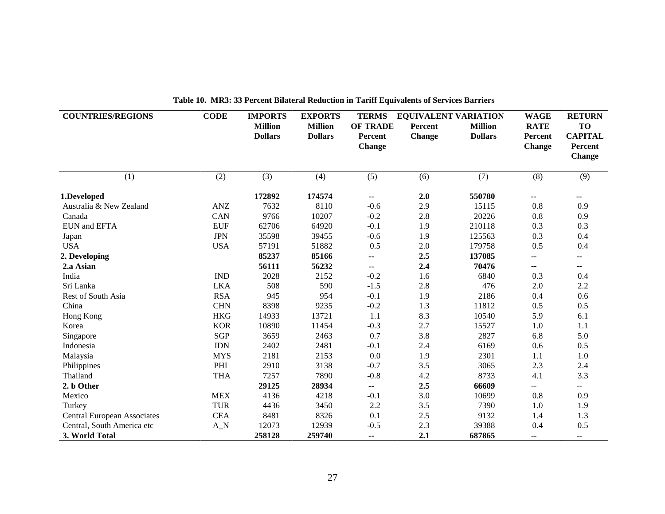| <b>COUNTRIES/REGIONS</b>           | <b>CODE</b> | <b>IMPORTS</b><br><b>Million</b><br><b>Dollars</b> | <b>EXPORTS</b><br><b>Million</b><br><b>Dollars</b> | <b>TERMS</b><br><b>OF TRADE</b><br><b>Percent</b><br><b>Change</b> | <b>EQUIVALENT VARIATION</b><br>Percent<br>Change | <b>Million</b><br><b>Dollars</b> | <b>WAGE</b><br><b>RATE</b><br>Percent<br>Change | <b>RETURN</b><br><b>TO</b><br><b>CAPITAL</b><br>Percent<br><b>Change</b> |
|------------------------------------|-------------|----------------------------------------------------|----------------------------------------------------|--------------------------------------------------------------------|--------------------------------------------------|----------------------------------|-------------------------------------------------|--------------------------------------------------------------------------|
| (1)                                | (2)         | (3)                                                | (4)                                                | (5)                                                                | (6)                                              | (7)                              | (8)                                             | (9)                                                                      |
| 1.Developed                        |             | 172892                                             | 174574                                             | ۰.                                                                 | 2.0                                              | 550780                           | --                                              | ۰.                                                                       |
| Australia & New Zealand            | <b>ANZ</b>  | 7632                                               | 8110                                               | $-0.6$                                                             | 2.9                                              | 15115                            | 0.8                                             | 0.9                                                                      |
| Canada                             | CAN         | 9766                                               | 10207                                              | $-0.2$                                                             | 2.8                                              | 20226                            | 0.8                                             | 0.9                                                                      |
| <b>EUN</b> and <b>EFTA</b>         | <b>EUF</b>  | 62706                                              | 64920                                              | $-0.1$                                                             | 1.9                                              | 210118                           | 0.3                                             | 0.3                                                                      |
| Japan                              | <b>JPN</b>  | 35598                                              | 39455                                              | $-0.6$                                                             | 1.9                                              | 125563                           | 0.3                                             | 0.4                                                                      |
| <b>USA</b>                         | <b>USA</b>  | 57191                                              | 51882                                              | 0.5                                                                | 2.0                                              | 179758                           | 0.5                                             | 0.4                                                                      |
| 2. Developing                      |             | 85237                                              | 85166                                              | --                                                                 | 2.5                                              | 137085                           | $- -$                                           | $\frac{1}{2}$                                                            |
| 2.a Asian                          |             | 56111                                              | 56232                                              | ۰.                                                                 | 2.4                                              | 70476                            | $\overline{\phantom{a}}$                        | $- -$                                                                    |
| India                              | <b>IND</b>  | 2028                                               | 2152                                               | $-0.2$                                                             | 1.6                                              | 6840                             | 0.3                                             | 0.4                                                                      |
| Sri Lanka                          | <b>LKA</b>  | 508                                                | 590                                                | $-1.5$                                                             | 2.8                                              | 476                              | 2.0                                             | 2.2                                                                      |
| Rest of South Asia                 | <b>RSA</b>  | 945                                                | 954                                                | $-0.1$                                                             | 1.9                                              | 2186                             | 0.4                                             | 0.6                                                                      |
| China                              | <b>CHN</b>  | 8398                                               | 9235                                               | $-0.2$                                                             | 1.3                                              | 11812                            | 0.5                                             | 0.5                                                                      |
| Hong Kong                          | <b>HKG</b>  | 14933                                              | 13721                                              | 1.1                                                                | 8.3                                              | 10540                            | 5.9                                             | 6.1                                                                      |
| Korea                              | <b>KOR</b>  | 10890                                              | 11454                                              | $-0.3$                                                             | 2.7                                              | 15527                            | 1.0                                             | 1.1                                                                      |
| Singapore                          | <b>SGP</b>  | 3659                                               | 2463                                               | 0.7                                                                | 3.8                                              | 2827                             | 6.8                                             | 5.0                                                                      |
| Indonesia                          | <b>IDN</b>  | 2402                                               | 2481                                               | $-0.1$                                                             | 2.4                                              | 6169                             | 0.6                                             | 0.5                                                                      |
| Malaysia                           | <b>MYS</b>  | 2181                                               | 2153                                               | 0.0                                                                | 1.9                                              | 2301                             | 1.1                                             | 1.0                                                                      |
| Philippines                        | <b>PHL</b>  | 2910                                               | 3138                                               | $-0.7$                                                             | 3.5                                              | 3065                             | 2.3                                             | 2.4                                                                      |
| Thailand                           | <b>THA</b>  | 7257                                               | 7890                                               | $-0.8$                                                             | 4.2                                              | 8733                             | 4.1                                             | 3.3                                                                      |
| 2. b Other                         |             | 29125                                              | 28934                                              | ۰.                                                                 | 2.5                                              | 66609                            | $---$                                           | --                                                                       |
| Mexico                             | <b>MEX</b>  | 4136                                               | 4218                                               | $-0.1$                                                             | 3.0                                              | 10699                            | 0.8                                             | 0.9                                                                      |
| Turkey                             | <b>TUR</b>  | 4436                                               | 3450                                               | 2.2                                                                | 3.5                                              | 7390                             | 1.0                                             | 1.9                                                                      |
| <b>Central European Associates</b> | <b>CEA</b>  | 8481                                               | 8326                                               | 0.1                                                                | 2.5                                              | 9132                             | 1.4                                             | 1.3                                                                      |
| Central, South America etc         | $A_N$       | 12073                                              | 12939                                              | $-0.5$                                                             | 2.3                                              | 39388                            | 0.4                                             | 0.5                                                                      |
| 3. World Total                     |             | 258128                                             | 259740                                             | --                                                                 | 2.1                                              | 687865                           |                                                 | $-$                                                                      |

## **Table 10. MR3: 33 Percent Bilateral Reduction in Tariff Equivalents of Services Barriers**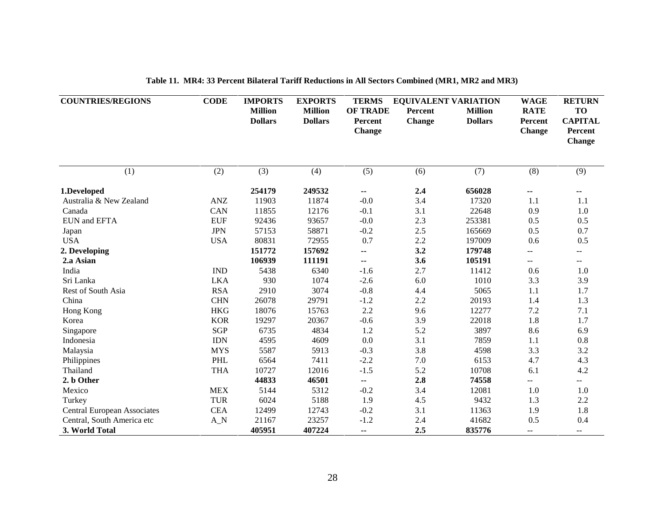| <b>COUNTRIES/REGIONS</b>           | <b>CODE</b>                 | <b>IMPORTS</b> | <b>EXPORTS</b> | <b>TERMS</b>    | <b>EQUIVALENT VARIATION</b> |                | <b>WAGE</b>    | <b>RETURN</b>  |
|------------------------------------|-----------------------------|----------------|----------------|-----------------|-----------------------------|----------------|----------------|----------------|
|                                    |                             | <b>Million</b> | <b>Million</b> | <b>OF TRADE</b> | <b>Percent</b>              | <b>Million</b> | <b>RATE</b>    | <b>TO</b>      |
|                                    |                             | <b>Dollars</b> | <b>Dollars</b> | Percent         | <b>Change</b>               | <b>Dollars</b> | <b>Percent</b> | <b>CAPITAL</b> |
|                                    |                             |                |                | Change          |                             |                | <b>Change</b>  | Percent        |
|                                    |                             |                |                |                 |                             |                |                | <b>Change</b>  |
|                                    |                             |                |                |                 |                             |                |                |                |
| (1)                                | (2)                         | (3)            | (4)            | (5)             | (6)                         | (7)            | (8)            | (9)            |
| 1.Developed                        |                             | 254179         | 249532         | --              | 2.4                         | 656028         | ۰.             | --             |
| Australia & New Zealand            | <b>ANZ</b>                  | 11903          | 11874          | $-0.0$          | 3.4                         | 17320          | 1.1            | 1.1            |
| Canada                             | CAN                         | 11855          | 12176          | $-0.1$          | 3.1                         | 22648          | 0.9            | 1.0            |
| <b>EUN</b> and <b>EFTA</b>         | <b>EUF</b>                  | 92436          | 93657          | $-0.0$          | 2.3                         | 253381         | 0.5            | 0.5            |
| Japan                              | <b>JPN</b>                  | 57153          | 58871          | $-0.2$          | 2.5                         | 165669         | 0.5            | 0.7            |
| <b>USA</b>                         | <b>USA</b>                  | 80831          | 72955          | 0.7             | 2.2                         | 197009         | 0.6            | 0.5            |
| 2. Developing                      |                             | 151772         | 157692         | ۰.              | 3.2                         | 179748         | --             | $- -$          |
| 2.a Asian                          |                             | 106939         | 111191         | ۰.              | 3.6                         | 105191         | --             | $- -$          |
| India                              | $\mathop{\rm IND}\nolimits$ | 5438           | 6340           | $-1.6$          | 2.7                         | 11412          | 0.6            | 1.0            |
| Sri Lanka                          | <b>LKA</b>                  | 930            | 1074           | $-2.6$          | 6.0                         | 1010           | 3.3            | 3.9            |
| Rest of South Asia                 | <b>RSA</b>                  | 2910           | 3074           | $-0.8$          | 4.4                         | 5065           | 1.1            | 1.7            |
| China                              | <b>CHN</b>                  | 26078          | 29791          | $-1.2$          | 2.2                         | 20193          | 1.4            | 1.3            |
| Hong Kong                          | <b>HKG</b>                  | 18076          | 15763          | 2.2             | 9.6                         | 12277          | 7.2            | 7.1            |
| Korea                              | <b>KOR</b>                  | 19297          | 20367          | $-0.6$          | 3.9                         | 22018          | 1.8            | 1.7            |
| Singapore                          | <b>SGP</b>                  | 6735           | 4834           | 1.2             | 5.2                         | 3897           | 8.6            | 6.9            |
| Indonesia                          | <b>IDN</b>                  | 4595           | 4609           | 0.0             | 3.1                         | 7859           | 1.1            | 0.8            |
| Malaysia                           | <b>MYS</b>                  | 5587           | 5913           | $-0.3$          | 3.8                         | 4598           | 3.3            | 3.2            |
| Philippines                        | <b>PHL</b>                  | 6564           | 7411           | $-2.2$          | 7.0                         | 6153           | 4.7            | 4.3            |
| Thailand                           | <b>THA</b>                  | 10727          | 12016          | $-1.5$          | 5.2                         | 10708          | 6.1            | 4.2            |
| 2. b Other                         |                             | 44833          | 46501          | ۰.              | 2.8                         | 74558          | $-$            | --             |
| Mexico                             | <b>MEX</b>                  | 5144           | 5312           | $-0.2$          | 3.4                         | 12081          | 1.0            | 1.0            |
| Turkey                             | <b>TUR</b>                  | 6024           | 5188           | 1.9             | 4.5                         | 9432           | 1.3            | 2.2            |
| <b>Central European Associates</b> | <b>CEA</b>                  | 12499          | 12743          | $-0.2$          | 3.1                         | 11363          | 1.9            | 1.8            |
| Central, South America etc         | $A_N$                       | 21167          | 23257          | $-1.2$          | 2.4                         | 41682          | 0.5            | 0.4            |
| 3. World Total                     |                             | 405951         | 407224         | --              | 2.5                         | 835776         | --             | $- -$          |

### **Table 11. MR4: 33 Percent Bilateral Tariff Reductions in All Sectors Combined (MR1, MR2 and MR3)**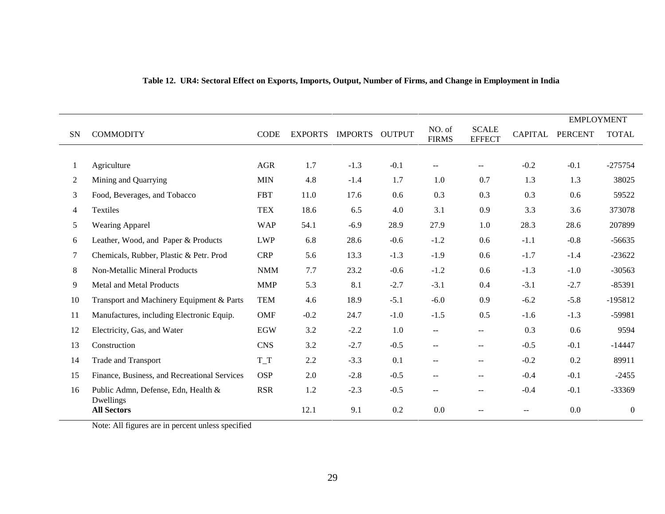|                |                                              |             |                |                |               |                          |                               |                | <b>EMPLOYMENT</b> |                |
|----------------|----------------------------------------------|-------------|----------------|----------------|---------------|--------------------------|-------------------------------|----------------|-------------------|----------------|
| <b>SN</b>      | <b>COMMODITY</b>                             | <b>CODE</b> | <b>EXPORTS</b> | <b>IMPORTS</b> | <b>OUTPUT</b> | NO. of<br><b>FIRMS</b>   | <b>SCALE</b><br><b>EFFECT</b> | <b>CAPITAL</b> | <b>PERCENT</b>    | <b>TOTAL</b>   |
|                |                                              |             |                |                |               |                          |                               |                |                   |                |
| 1              | Agriculture                                  | <b>AGR</b>  | 1.7            | $-1.3$         | $-0.1$        | $\overline{\phantom{a}}$ | $- -$                         | $-0.2$         | $-0.1$            | $-275754$      |
| 2              | Mining and Quarrying                         | <b>MIN</b>  | 4.8            | $-1.4$         | 1.7           | 1.0                      | 0.7                           | 1.3            | 1.3               | 38025          |
| 3              | Food, Beverages, and Tobacco                 | <b>FBT</b>  | 11.0           | 17.6           | 0.6           | 0.3                      | 0.3                           | 0.3            | 0.6               | 59522          |
| $\overline{4}$ | Textiles                                     | <b>TEX</b>  | 18.6           | 6.5            | 4.0           | 3.1                      | 0.9                           | 3.3            | 3.6               | 373078         |
| 5              | <b>Wearing Apparel</b>                       | <b>WAP</b>  | 54.1           | $-6.9$         | 28.9          | 27.9                     | 1.0                           | 28.3           | 28.6              | 207899         |
| 6              | Leather, Wood, and Paper & Products          | <b>LWP</b>  | 6.8            | 28.6           | $-0.6$        | $-1.2$                   | 0.6                           | $-1.1$         | $-0.8$            | $-56635$       |
| 7              | Chemicals, Rubber, Plastic & Petr. Prod.     | <b>CRP</b>  | 5.6            | 13.3           | $-1.3$        | $-1.9$                   | 0.6                           | $-1.7$         | $-1.4$            | $-23622$       |
| 8              | Non-Metallic Mineral Products                | <b>NMM</b>  | 7.7            | 23.2           | $-0.6$        | $-1.2$                   | 0.6                           | $-1.3$         | $-1.0$            | $-30563$       |
| 9              | <b>Metal and Metal Products</b>              | <b>MMP</b>  | 5.3            | 8.1            | $-2.7$        | $-3.1$                   | 0.4                           | $-3.1$         | $-2.7$            | $-85391$       |
| 10             | Transport and Machinery Equipment & Parts    | <b>TEM</b>  | 4.6            | 18.9           | $-5.1$        | $-6.0$                   | 0.9                           | $-6.2$         | $-5.8$            | $-195812$      |
| 11             | Manufactures, including Electronic Equip.    | <b>OMF</b>  | $-0.2$         | 24.7           | $-1.0$        | $-1.5$                   | 0.5                           | $-1.6$         | $-1.3$            | $-59981$       |
| 12             | Electricity, Gas, and Water                  | <b>EGW</b>  | 3.2            | $-2.2$         | 1.0           | $\sim$ $-$               | $- -$                         | 0.3            | 0.6               | 9594           |
| 13             | Construction                                 | <b>CNS</b>  | 3.2            | $-2.7$         | $-0.5$        | $\sim$                   | $\overline{\phantom{a}}$      | $-0.5$         | $-0.1$            | $-14447$       |
| 14             | <b>Trade and Transport</b>                   | $T_T$       | 2.2            | $-3.3$         | 0.1           | $\sim$                   | $- -$                         | $-0.2$         | 0.2               | 89911          |
| 15             | Finance, Business, and Recreational Services | <b>OSP</b>  | 2.0            | $-2.8$         | $-0.5$        | $\sim$ $\sim$            | --                            | $-0.4$         | $-0.1$            | $-2455$        |
| 16             | Public Admn, Defense, Edn, Health &          | <b>RSR</b>  | 1.2            | $-2.3$         | $-0.5$        | $--$                     | $-$                           | $-0.4$         | $-0.1$            | -33369         |
|                | Dwellings<br><b>All Sectors</b>              |             | 12.1           | 9.1            | 0.2           | 0.0                      | $-$                           |                | 0.0               | $\overline{0}$ |

### **Table 12. UR4: Sectoral Effect on Exports, Imports, Output, Number of Firms, and Change in Employment in India**

Note: All figures are in percent unless specified

 $\overline{a}$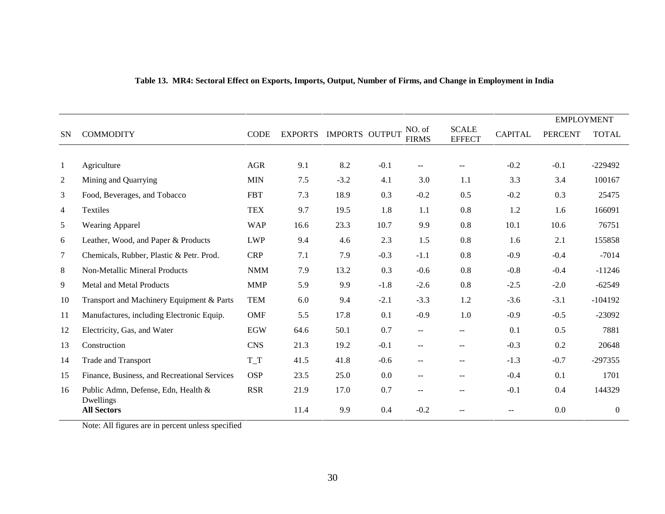|                |                                              |             |                        |        |        |                        |                               |                | <b>EMPLOYMENT</b> |              |
|----------------|----------------------------------------------|-------------|------------------------|--------|--------|------------------------|-------------------------------|----------------|-------------------|--------------|
| <b>SN</b>      | <b>COMMODITY</b>                             | <b>CODE</b> | EXPORTS IMPORTS OUTPUT |        |        | NO. of<br><b>FIRMS</b> | <b>SCALE</b><br><b>EFFECT</b> | <b>CAPITAL</b> | <b>PERCENT</b>    | <b>TOTAL</b> |
|                |                                              |             |                        |        |        |                        |                               |                |                   |              |
| -1             | Agriculture                                  | AGR         | 9.1                    | 8.2    | $-0.1$ | $\overline{a}$         | $-$                           | $-0.2$         | $-0.1$            | $-229492$    |
| 2              | Mining and Quarrying                         | <b>MIN</b>  | 7.5                    | $-3.2$ | 4.1    | 3.0                    | 1.1                           | 3.3            | 3.4               | 100167       |
| 3              | Food, Beverages, and Tobacco                 | <b>FBT</b>  | 7.3                    | 18.9   | 0.3    | $-0.2$                 | 0.5                           | $-0.2$         | 0.3               | 25475        |
| $\overline{4}$ | Textiles                                     | <b>TEX</b>  | 9.7                    | 19.5   | 1.8    | 1.1                    | 0.8                           | 1.2            | 1.6               | 166091       |
| 5              | <b>Wearing Apparel</b>                       | <b>WAP</b>  | 16.6                   | 23.3   | 10.7   | 9.9                    | 0.8                           | 10.1           | 10.6              | 76751        |
| 6              | Leather, Wood, and Paper & Products          | <b>LWP</b>  | 9.4                    | 4.6    | 2.3    | 1.5                    | 0.8                           | 1.6            | 2.1               | 155858       |
| 7              | Chemicals, Rubber, Plastic & Petr. Prod.     | <b>CRP</b>  | 7.1                    | 7.9    | $-0.3$ | $-1.1$                 | 0.8                           | $-0.9$         | $-0.4$            | $-7014$      |
| 8              | <b>Non-Metallic Mineral Products</b>         | <b>NMM</b>  | 7.9                    | 13.2   | 0.3    | $-0.6$                 | 0.8                           | $-0.8$         | $-0.4$            | $-11246$     |
| 9              | Metal and Metal Products                     | <b>MMP</b>  | 5.9                    | 9.9    | $-1.8$ | $-2.6$                 | 0.8                           | $-2.5$         | $-2.0$            | $-62549$     |
| 10             | Transport and Machinery Equipment & Parts    | <b>TEM</b>  | 6.0                    | 9.4    | $-2.1$ | $-3.3$                 | 1.2                           | $-3.6$         | $-3.1$            | $-104192$    |
| 11             | Manufactures, including Electronic Equip.    | <b>OMF</b>  | 5.5                    | 17.8   | 0.1    | $-0.9$                 | 1.0                           | $-0.9$         | $-0.5$            | $-23092$     |
| 12             | Electricity, Gas, and Water                  | EGW         | 64.6                   | 50.1   | 0.7    | $\overline{a}$         | $\overline{\phantom{a}}$      | 0.1            | 0.5               | 7881         |
| 13             | Construction                                 | <b>CNS</b>  | 21.3                   | 19.2   | $-0.1$ | --                     | $-$                           | $-0.3$         | 0.2               | 20648        |
| 14             | <b>Trade and Transport</b>                   | $T_T$       | 41.5                   | 41.8   | $-0.6$ | $\overline{a}$         | $\overline{\phantom{a}}$      | $-1.3$         | $-0.7$            | $-297355$    |
| 15             | Finance, Business, and Recreational Services | <b>OSP</b>  | 23.5                   | 25.0   | 0.0    | $-$                    | $\overline{\phantom{a}}$      | $-0.4$         | 0.1               | 1701         |
| 16             | Public Admn, Defense, Edn, Health &          | <b>RSR</b>  | 21.9                   | 17.0   | 0.7    |                        |                               | $-0.1$         | 0.4               | 144329       |
|                | Dwellings<br><b>All Sectors</b>              |             | 11.4                   | 9.9    | 0.4    | $-0.2$                 |                               | --             | 0.0               | $\theta$     |

### **Table 13. MR4: Sectoral Effect on Exports, Imports, Output, Number of Firms, and Change in Employment in India**

Note: All figures are in percent unless specified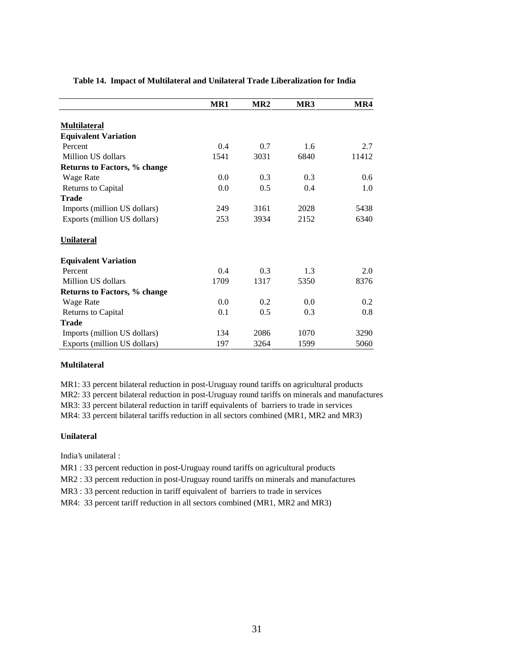|                                     | MR1  | MR <sub>2</sub>  | MR3  | MR4   |
|-------------------------------------|------|------------------|------|-------|
| <b>Multilateral</b>                 |      |                  |      |       |
| <b>Equivalent Variation</b>         |      |                  |      |       |
| Percent                             | 0.4  | 0.7              | 1.6  | 2.7   |
| Million US dollars                  | 1541 | 3031             | 6840 | 11412 |
| <b>Returns to Factors, % change</b> |      |                  |      |       |
| <b>Wage Rate</b>                    | 0.0  | 0.3              | 0.3  | 0.6   |
| Returns to Capital                  | 0.0  | 0.5              | 0.4  | 1.0   |
| Trade                               |      |                  |      |       |
| Imports (million US dollars)        | 249  | 3161             | 2028 | 5438  |
| Exports (million US dollars)        | 253  | 3934             | 2152 | 6340  |
| <b>Unilateral</b>                   |      |                  |      |       |
| <b>Equivalent Variation</b>         |      |                  |      |       |
| Percent                             | 0.4  | 0.3              | 1.3  | 2.0   |
| Million US dollars                  | 1709 | 1317             | 5350 | 8376  |
| <b>Returns to Factors, % change</b> |      |                  |      |       |
| <b>Wage Rate</b>                    | 0.0  | 0.2 <sub>1</sub> | 0.0  | 0.2   |
| Returns to Capital                  | 0.1  | 0.5              | 0.3  | 0.8   |
| <b>Trade</b>                        |      |                  |      |       |
| Imports (million US dollars)        | 134  | 2086             | 1070 | 3290  |
| Exports (million US dollars)        | 197  | 3264             | 1599 | 5060  |

### **Table 14. Impact of Multilateral and Unilateral Trade Liberalization for India**

### **Multilateral**

MR1: 33 percent bilateral reduction in post-Uruguay round tariffs on agricultural products MR2: 33 percent bilateral reduction in post-Uruguay round tariffs on minerals and manufactures MR3: 33 percent bilateral reduction in tariff equivalents of barriers to trade in services MR4: 33 percent bilateral tariffs reduction in all sectors combined (MR1, MR2 and MR3)

#### **Unilateral**

India's unilateral :

MR1 : 33 percent reduction in post-Uruguay round tariffs on agricultural products

MR2 : 33 percent reduction in post-Uruguay round tariffs on minerals and manufactures

MR3 : 33 percent reduction in tariff equivalent of barriers to trade in services

MR4: 33 percent tariff reduction in all sectors combined (MR1, MR2 and MR3)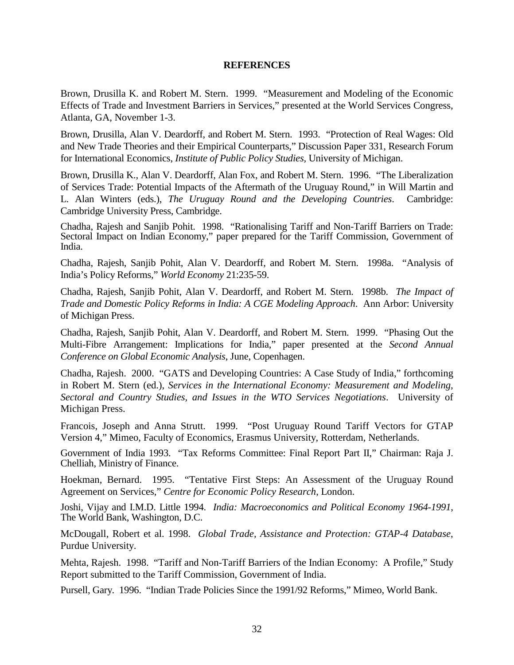### **REFERENCES**

Brown, Drusilla K. and Robert M. Stern. 1999. "Measurement and Modeling of the Economic Effects of Trade and Investment Barriers in Services," presented at the World Services Congress, Atlanta, GA, November 1-3.

Brown, Drusilla, Alan V. Deardorff, and Robert M. Stern. 1993. "Protection of Real Wages: Old and New Trade Theories and their Empirical Counterparts," Discussion Paper 331, Research Forum for International Economics, *Institute of Public Policy Studies,* University of Michigan.

Brown, Drusilla K., Alan V. Deardorff, Alan Fox, and Robert M. Stern. 1996. "The Liberalization of Services Trade: Potential Impacts of the Aftermath of the Uruguay Round," in Will Martin and L. Alan Winters (eds.), *The Uruguay Round and the Developing Countries*. Cambridge: Cambridge University Press, Cambridge.

Chadha, Rajesh and Sanjib Pohit. 1998. "Rationalising Tariff and Non-Tariff Barriers on Trade: Sectoral Impact on Indian Economy," paper prepared for the Tariff Commission, Government of India.

Chadha, Rajesh, Sanjib Pohit, Alan V. Deardorff, and Robert M. Stern. 1998a. "Analysis of India's Policy Reforms," *World Economy* 21:235-59.

Chadha, Rajesh, Sanjib Pohit, Alan V. Deardorff, and Robert M. Stern. 1998b. *The Impact of Trade and Domestic Policy Reforms in India: A CGE Modeling Approach*. Ann Arbor: University of Michigan Press.

Chadha, Rajesh, Sanjib Pohit, Alan V. Deardorff, and Robert M. Stern. 1999. "Phasing Out the Multi-Fibre Arrangement: Implications for India," paper presented at the *Second Annual Conference on Global Economic Analysis*, June, Copenhagen.

Chadha, Rajesh. 2000. "GATS and Developing Countries: A Case Study of India," forthcoming in Robert M. Stern (ed.), *Services in the International Economy: Measurement and Modeling, Sectoral and Country Studies, and Issues in the WTO Services Negotiations*. University of Michigan Press.

Francois, Joseph and Anna Strutt. 1999. "Post Uruguay Round Tariff Vectors for GTAP Version 4," Mimeo, Faculty of Economics, Erasmus University, Rotterdam, Netherlands.

Government of India 1993. "Tax Reforms Committee: Final Report Part II," Chairman: Raja J. Chelliah, Ministry of Finance.

Hoekman, Bernard. 1995. "Tentative First Steps: An Assessment of the Uruguay Round Agreement on Services," *Centre for Economic Policy Research*, London.

Joshi, Vijay and I.M.D. Little 1994. *India: Macroeconomics and Political Economy 1964-1991*, The World Bank, Washington, D.C.

McDougall, Robert et al. 1998. *Global Trade, Assistance and Protection: GTAP-4 Database*, Purdue University.

Mehta, Rajesh. 1998. "Tariff and Non-Tariff Barriers of the Indian Economy: A Profile," Study Report submitted to the Tariff Commission, Government of India.

Pursell, Gary. 1996. "Indian Trade Policies Since the 1991/92 Reforms," Mimeo, World Bank.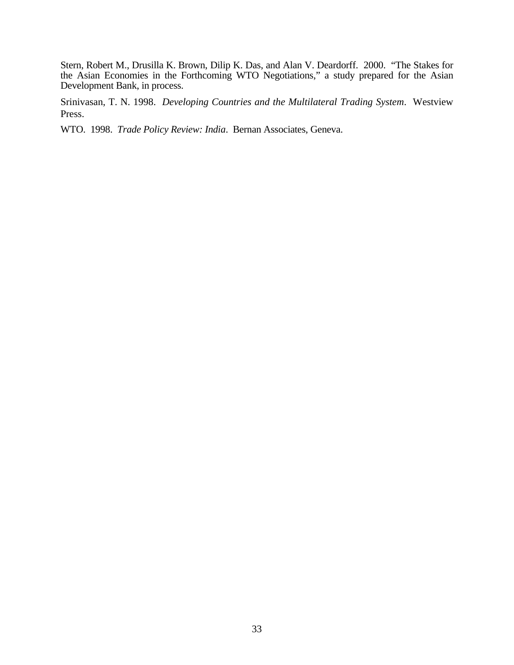Stern, Robert M., Drusilla K. Brown, Dilip K. Das, and Alan V. Deardorff. 2000. "The Stakes for the Asian Economies in the Forthcoming WTO Negotiations," a study prepared for the Asian Development Bank, in process.

Srinivasan, T. N. 1998. *Developing Countries and the Multilateral Trading System*. Westview Press.

WTO. 1998. *Trade Policy Review: India*. Bernan Associates, Geneva.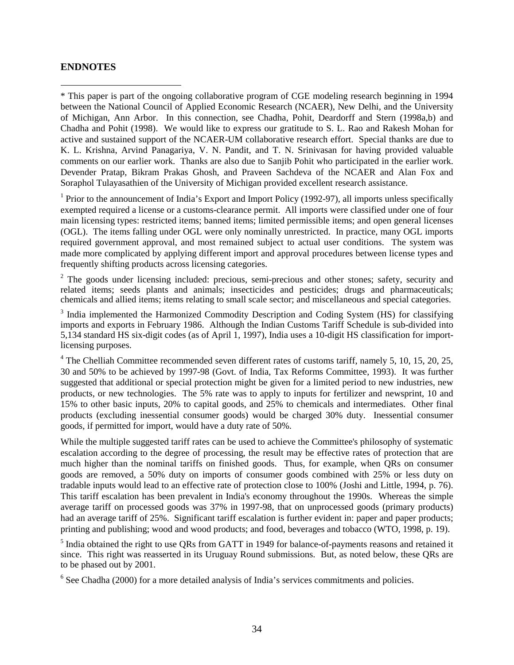# **ENDNOTES**

 $\overline{a}$ 

\* This paper is part of the ongoing collaborative program of CGE modeling research beginning in 1994 between the National Council of Applied Economic Research (NCAER), New Delhi, and the University of Michigan, Ann Arbor. In this connection, see Chadha, Pohit, Deardorff and Stern (1998a,b) and Chadha and Pohit (1998). We would like to express our gratitude to S. L. Rao and Rakesh Mohan for active and sustained support of the NCAER-UM collaborative research effort. Special thanks are due to K. L. Krishna, Arvind Panagariya, V. N. Pandit, and T. N. Srinivasan for having provided valuable comments on our earlier work. Thanks are also due to Sanjib Pohit who participated in the earlier work. Devender Pratap, Bikram Prakas Ghosh, and Praveen Sachdeva of the NCAER and Alan Fox and Soraphol Tulayasathien of the University of Michigan provided excellent research assistance.

<sup>1</sup> Prior to the announcement of India's Export and Import Policy (1992-97), all imports unless specifically exempted required a license or a customs-clearance permit. All imports were classified under one of four main licensing types: restricted items; banned items; limited permissible items; and open general licenses (OGL). The items falling under OGL were only nominally unrestricted. In practice, many OGL imports required government approval, and most remained subject to actual user conditions. The system was made more complicated by applying different import and approval procedures between license types and frequently shifting products across licensing categories.

<sup>2</sup> The goods under licensing included: precious, semi-precious and other stones; safety, security and related items; seeds plants and animals; insecticides and pesticides; drugs and pharmaceuticals; chemicals and allied items; items relating to small scale sector; and miscellaneous and special categories.

<sup>3</sup> India implemented the Harmonized Commodity Description and Coding System (HS) for classifying imports and exports in February 1986. Although the Indian Customs Tariff Schedule is sub-divided into 5,134 standard HS six-digit codes (as of April 1, 1997), India uses a 10-digit HS classification for importlicensing purposes.

<sup>4</sup> The Chelliah Committee recommended seven different rates of customs tariff, namely 5, 10, 15, 20, 25, 30 and 50% to be achieved by 1997-98 (Govt. of India, Tax Reforms Committee, 1993). It was further suggested that additional or special protection might be given for a limited period to new industries, new products, or new technologies. The 5% rate was to apply to inputs for fertilizer and newsprint, 10 and 15% to other basic inputs, 20% to capital goods, and 25% to chemicals and intermediates. Other final products (excluding inessential consumer goods) would be charged 30% duty. Inessential consumer goods, if permitted for import, would have a duty rate of 50%.

While the multiple suggested tariff rates can be used to achieve the Committee's philosophy of systematic escalation according to the degree of processing, the result may be effective rates of protection that are much higher than the nominal tariffs on finished goods. Thus, for example, when QRs on consumer goods are removed, a 50% duty on imports of consumer goods combined with 25% or less duty on tradable inputs would lead to an effective rate of protection close to 100% (Joshi and Little, 1994, p. 76). This tariff escalation has been prevalent in India's economy throughout the 1990s. Whereas the simple average tariff on processed goods was 37% in 1997-98, that on unprocessed goods (primary products) had an average tariff of 25%. Significant tariff escalation is further evident in: paper and paper products; printing and publishing; wood and wood products; and food, beverages and tobacco (WTO, 1998, p. 19).

<sup>5</sup> India obtained the right to use QRs from GATT in 1949 for balance-of-payments reasons and retained it since. This right was reasserted in its Uruguay Round submissions. But, as noted below, these QRs are to be phased out by 2001.

 $6$  See Chadha (2000) for a more detailed analysis of India's services commitments and policies.